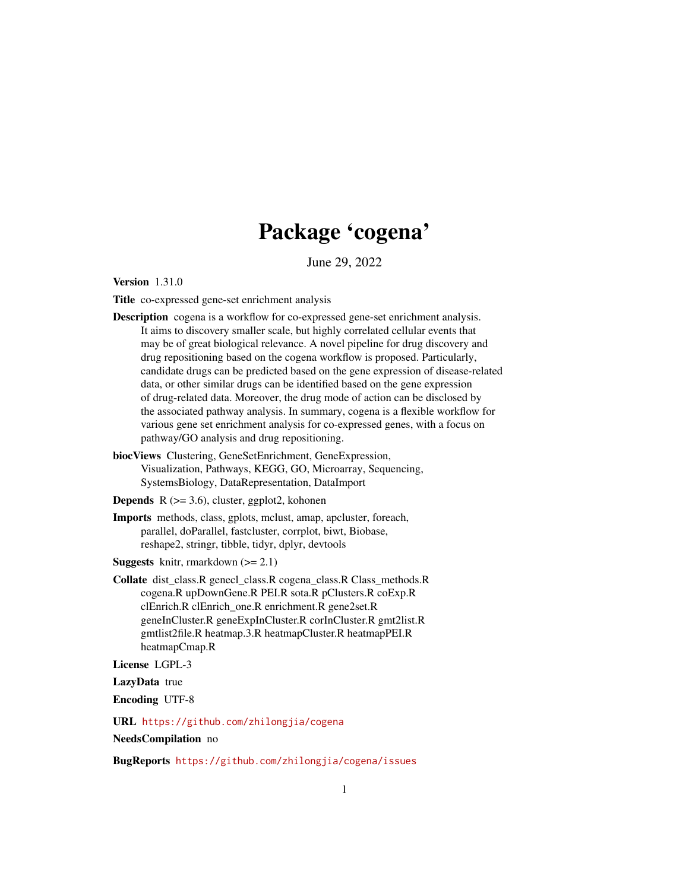# Package 'cogena'

June 29, 2022

<span id="page-0-0"></span>Version 1.31.0

Title co-expressed gene-set enrichment analysis

- Description cogena is a workflow for co-expressed gene-set enrichment analysis. It aims to discovery smaller scale, but highly correlated cellular events that may be of great biological relevance. A novel pipeline for drug discovery and drug repositioning based on the cogena workflow is proposed. Particularly, candidate drugs can be predicted based on the gene expression of disease-related data, or other similar drugs can be identified based on the gene expression of drug-related data. Moreover, the drug mode of action can be disclosed by the associated pathway analysis. In summary, cogena is a flexible workflow for various gene set enrichment analysis for co-expressed genes, with a focus on pathway/GO analysis and drug repositioning.
- biocViews Clustering, GeneSetEnrichment, GeneExpression, Visualization, Pathways, KEGG, GO, Microarray, Sequencing, SystemsBiology, DataRepresentation, DataImport

**Depends** R  $(>= 3.6)$ , cluster, ggplot2, kohonen

Imports methods, class, gplots, mclust, amap, apcluster, foreach, parallel, doParallel, fastcluster, corrplot, biwt, Biobase, reshape2, stringr, tibble, tidyr, dplyr, devtools

**Suggests** knitr, rmarkdown  $(>= 2.1)$ 

Collate dist\_class.R genecl\_class.R cogena\_class.R Class\_methods.R cogena.R upDownGene.R PEI.R sota.R pClusters.R coExp.R clEnrich.R clEnrich\_one.R enrichment.R gene2set.R geneInCluster.R geneExpInCluster.R corInCluster.R gmt2list.R gmtlist2file.R heatmap.3.R heatmapCluster.R heatmapPEI.R heatmapCmap.R

License LGPL-3

LazyData true

Encoding UTF-8

URL <https://github.com/zhilongjia/cogena>

NeedsCompilation no

BugReports <https://github.com/zhilongjia/cogena/issues>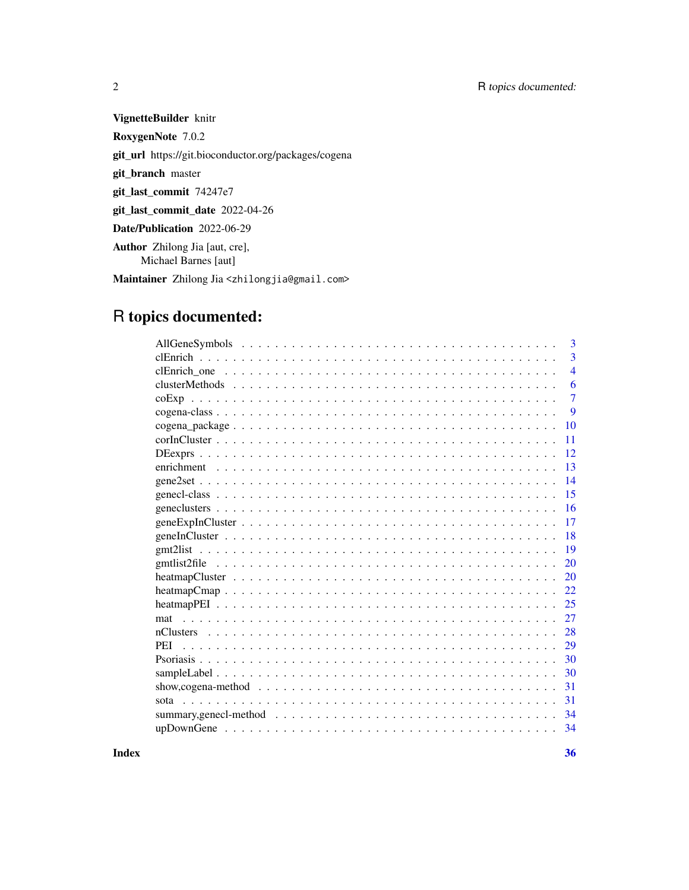# 2 R topics documented:

VignetteBuilder knitr

RoxygenNote 7.0.2

git\_url https://git.bioconductor.org/packages/cogena

git\_branch master

git\_last\_commit 74247e7

git\_last\_commit\_date 2022-04-26

Date/Publication 2022-06-29

Author Zhilong Jia [aut, cre], Michael Barnes [aut]

Maintainer Zhilong Jia <zhilongjia@gmail.com>

# R topics documented:

| 3                                                                                                                  |
|--------------------------------------------------------------------------------------------------------------------|
| 3                                                                                                                  |
| $\overline{4}$                                                                                                     |
| 6                                                                                                                  |
| $\overline{7}$<br>coExp                                                                                            |
| 9                                                                                                                  |
| 10                                                                                                                 |
| 11                                                                                                                 |
| 12                                                                                                                 |
| 13                                                                                                                 |
| 14                                                                                                                 |
| 15                                                                                                                 |
| 16                                                                                                                 |
| 17                                                                                                                 |
| 18                                                                                                                 |
| 19                                                                                                                 |
| 20                                                                                                                 |
| 20                                                                                                                 |
| 22                                                                                                                 |
| 25                                                                                                                 |
| 27                                                                                                                 |
| 28                                                                                                                 |
| 29                                                                                                                 |
| 30                                                                                                                 |
| 30                                                                                                                 |
| show, cogena-method $\ldots \ldots \ldots \ldots \ldots \ldots \ldots \ldots \ldots \ldots \ldots \ldots$<br>31    |
| 31                                                                                                                 |
| 34<br>summary, genecl-method $\ldots \ldots \ldots \ldots \ldots \ldots \ldots \ldots \ldots \ldots \ldots \ldots$ |
| 34                                                                                                                 |

**Index** [36](#page-35-0)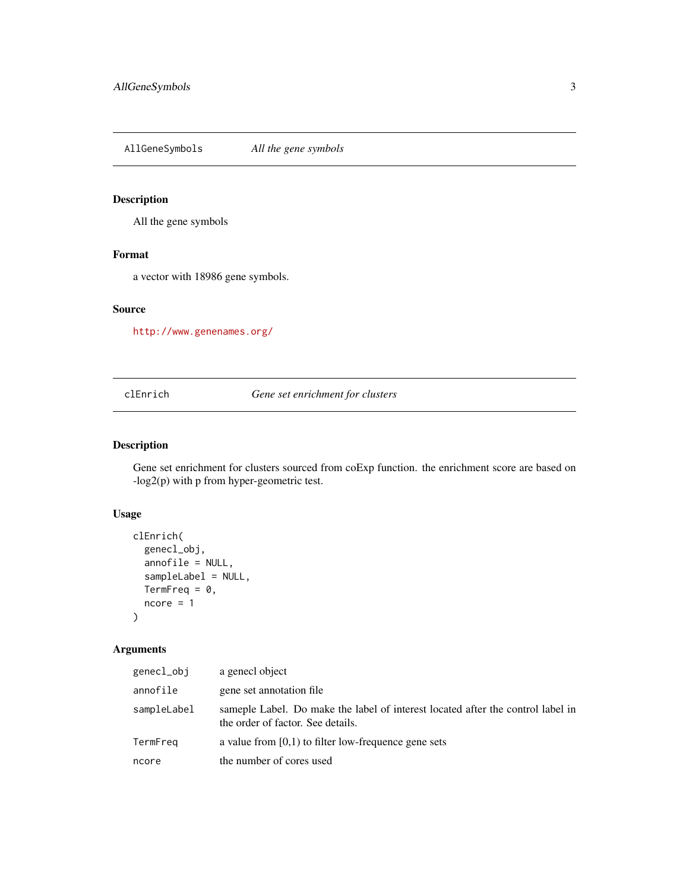<span id="page-2-0"></span>AllGeneSymbols *All the gene symbols*

# Description

All the gene symbols

# Format

a vector with 18986 gene symbols.

# Source

<http://www.genenames.org/>

<span id="page-2-1"></span>clEnrich *Gene set enrichment for clusters*

# Description

Gene set enrichment for clusters sourced from coExp function. the enrichment score are based on -log2(p) with p from hyper-geometric test.

# Usage

```
clEnrich(
  genecl_obj,
 annofile = NULL,
  sampleLabel = NULL,
 TermFreq = 0,
 ncore = 1)
```
# Arguments

| genecl_obj  | a genecl object                                                                                                      |
|-------------|----------------------------------------------------------------------------------------------------------------------|
| annofile    | gene set annotation file                                                                                             |
| sampleLabel | sameple Label. Do make the label of interest located after the control label in<br>the order of factor. See details. |
| TermFreq    | a value from $[0,1)$ to filter low-frequence gene sets                                                               |
| ncore       | the number of cores used                                                                                             |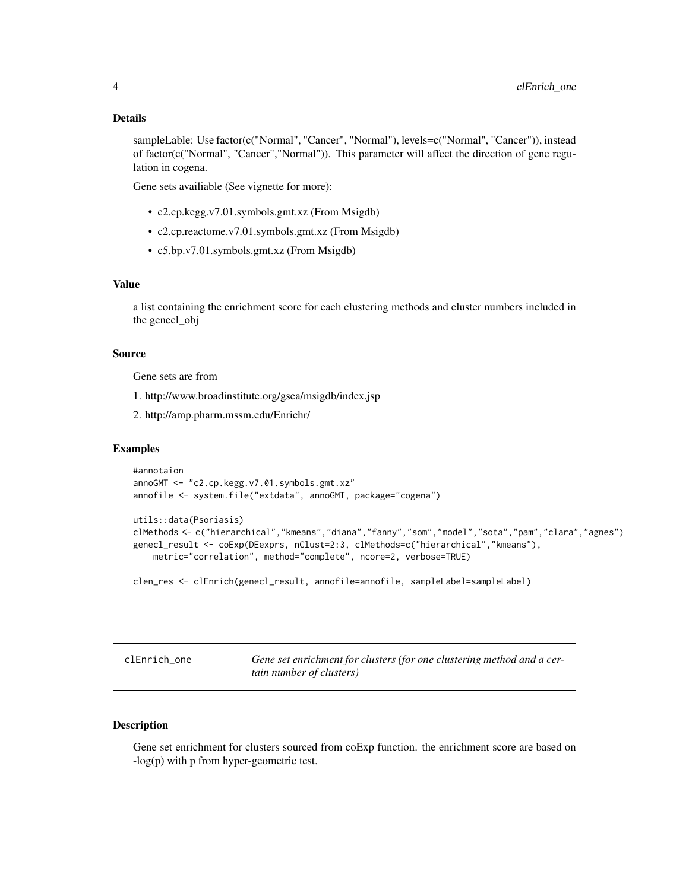#### <span id="page-3-0"></span>Details

sampleLable: Use factor(c("Normal", "Cancer", "Normal"), levels=c("Normal", "Cancer")), instead of factor(c("Normal", "Cancer","Normal")). This parameter will affect the direction of gene regulation in cogena.

Gene sets availiable (See vignette for more):

- c2.cp.kegg.v7.01.symbols.gmt.xz (From Msigdb)
- c2.cp.reactome.v7.01.symbols.gmt.xz (From Msigdb)
- c5.bp.v7.01.symbols.gmt.xz (From Msigdb)

#### Value

a list containing the enrichment score for each clustering methods and cluster numbers included in the genecl\_obj

#### Source

Gene sets are from

- 1. http://www.broadinstitute.org/gsea/msigdb/index.jsp
- 2. http://amp.pharm.mssm.edu/Enrichr/

# Examples

```
#annotaion
annoGMT <- "c2.cp.kegg.v7.01.symbols.gmt.xz"
annofile <- system.file("extdata", annoGMT, package="cogena")
```

```
utils::data(Psoriasis)
```

```
clMethods <- c("hierarchical","kmeans","diana","fanny","som","model","sota","pam","clara","agnes")
genecl_result <- coExp(DEexprs, nClust=2:3, clMethods=c("hierarchical","kmeans"),
   metric="correlation", method="complete", ncore=2, verbose=TRUE)
```
clen\_res <- clEnrich(genecl\_result, annofile=annofile, sampleLabel=sampleLabel)

clEnrich\_one *Gene set enrichment for clusters (for one clustering method and a certain number of clusters)*

#### Description

Gene set enrichment for clusters sourced from coExp function. the enrichment score are based on -log(p) with p from hyper-geometric test.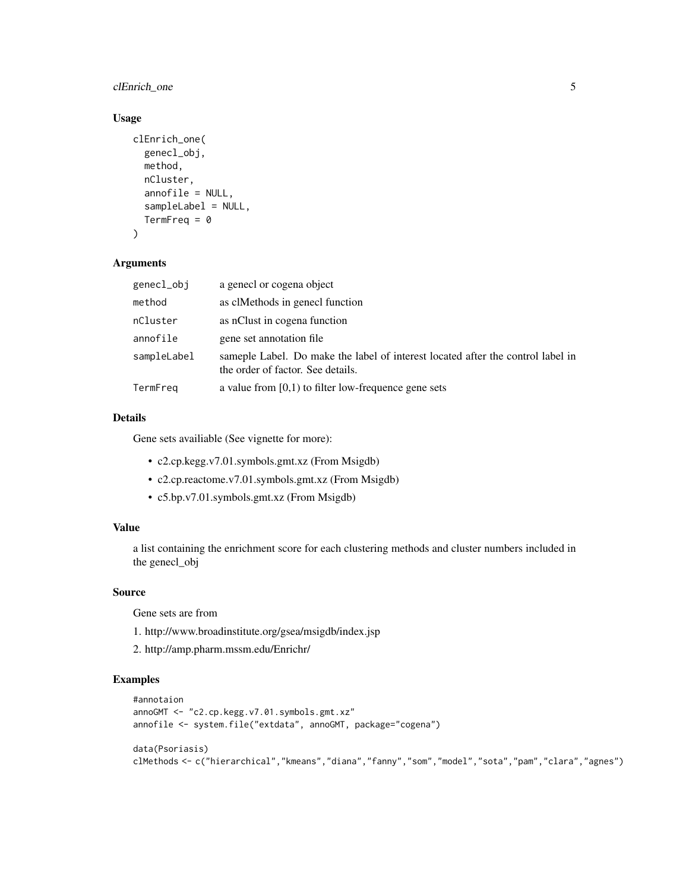# clEnrich\_one 5

# Usage

```
clEnrich_one(
  genecl_obj,
  method,
  nCluster,
  annofile = NULL,
  sampleLabel = NULL,
  TermFreq = \theta\mathcal{L}
```
#### Arguments

| genecl_obj  | a genecl or cogena object                                                                                            |
|-------------|----------------------------------------------------------------------------------------------------------------------|
| method      | as clMethods in genecl function                                                                                      |
| nCluster    | as nClust in cogena function                                                                                         |
| annofile    | gene set annotation file                                                                                             |
| sampleLabel | sameple Label. Do make the label of interest located after the control label in<br>the order of factor. See details. |
| TermFreg    | a value from $[0,1)$ to filter low-frequence gene sets                                                               |

#### Details

Gene sets availiable (See vignette for more):

- c2.cp.kegg.v7.01.symbols.gmt.xz (From Msigdb)
- c2.cp.reactome.v7.01.symbols.gmt.xz (From Msigdb)
- c5.bp.v7.01.symbols.gmt.xz (From Msigdb)

# Value

a list containing the enrichment score for each clustering methods and cluster numbers included in the genecl\_obj

# Source

Gene sets are from

- 1. http://www.broadinstitute.org/gsea/msigdb/index.jsp
- 2. http://amp.pharm.mssm.edu/Enrichr/

```
#annotaion
annoGMT <- "c2.cp.kegg.v7.01.symbols.gmt.xz"
annofile <- system.file("extdata", annoGMT, package="cogena")
data(Psoriasis)
clMethods <- c("hierarchical","kmeans","diana","fanny","som","model","sota","pam","clara","agnes")
```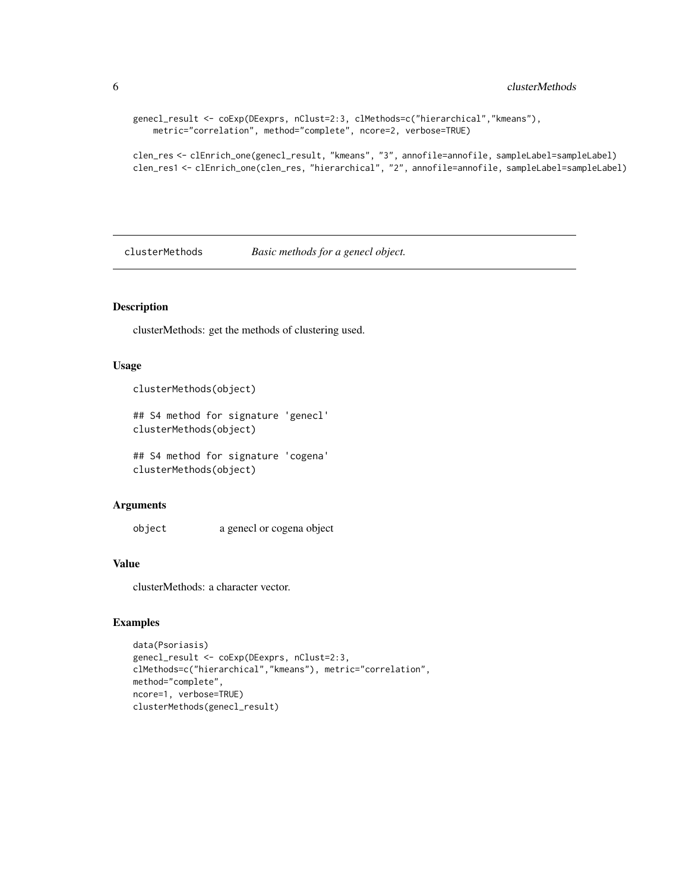```
genecl_result <- coExp(DEexprs, nClust=2:3, clMethods=c("hierarchical","kmeans"),
   metric="correlation", method="complete", ncore=2, verbose=TRUE)
```
clen\_res <- clEnrich\_one(genecl\_result, "kmeans", "3", annofile=annofile, sampleLabel=sampleLabel) clen\_res1 <- clEnrich\_one(clen\_res, "hierarchical", "2", annofile=annofile, sampleLabel=sampleLabel)

clusterMethods *Basic methods for a genecl object.*

#### Description

clusterMethods: get the methods of clustering used.

# Usage

```
clusterMethods(object)
```

```
## S4 method for signature 'genecl'
clusterMethods(object)
```
## S4 method for signature 'cogena' clusterMethods(object)

#### Arguments

object a genecl or cogena object

#### Value

clusterMethods: a character vector.

```
data(Psoriasis)
genecl_result <- coExp(DEexprs, nClust=2:3,
clMethods=c("hierarchical","kmeans"), metric="correlation",
method="complete",
ncore=1, verbose=TRUE)
clusterMethods(genecl_result)
```
<span id="page-5-0"></span>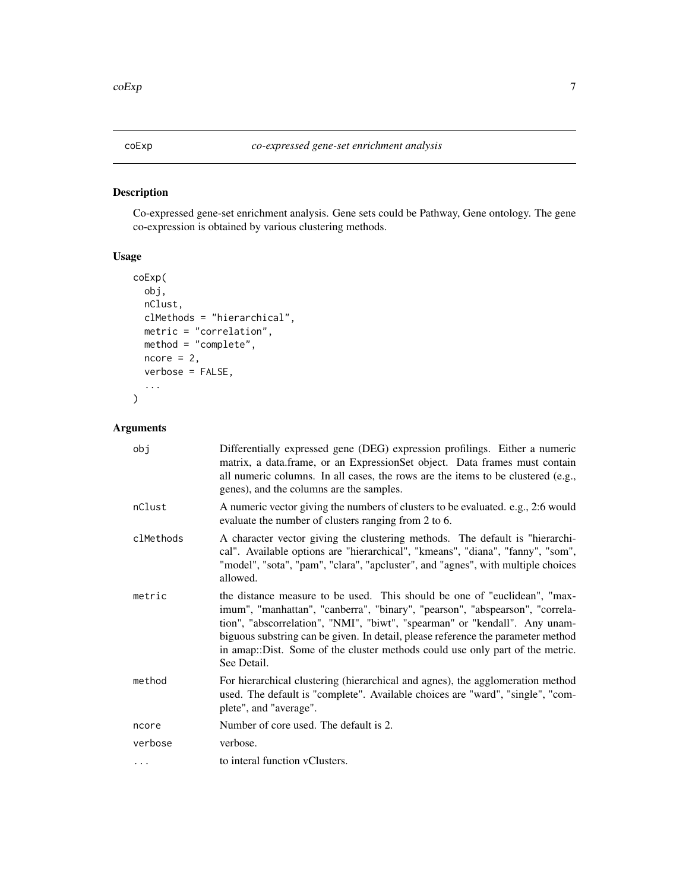<span id="page-6-0"></span>Co-expressed gene-set enrichment analysis. Gene sets could be Pathway, Gene ontology. The gene co-expression is obtained by various clustering methods.

# Usage

```
coExp(
 obj,
 nClust,
 clMethods = "hierarchical",
 metric = "correlation",
 method = "complete",
 ncore = 2,
 verbose = FALSE,
  ...
)
```
# Arguments

| obj       | Differentially expressed gene (DEG) expression profilings. Either a numeric<br>matrix, a data.frame, or an ExpressionSet object. Data frames must contain<br>all numeric columns. In all cases, the rows are the items to be clustered (e.g.,<br>genes), and the columns are the samples.                                                                                                                                   |
|-----------|-----------------------------------------------------------------------------------------------------------------------------------------------------------------------------------------------------------------------------------------------------------------------------------------------------------------------------------------------------------------------------------------------------------------------------|
| nClust    | A numeric vector giving the numbers of clusters to be evaluated. e.g., 2:6 would<br>evaluate the number of clusters ranging from 2 to 6.                                                                                                                                                                                                                                                                                    |
| clMethods | A character vector giving the clustering methods. The default is "hierarchi-<br>cal". Available options are "hierarchical", "kmeans", "diana", "fanny", "som",<br>"model", "sota", "pam", "clara", "apcluster", and "agnes", with multiple choices<br>allowed.                                                                                                                                                              |
| metric    | the distance measure to be used. This should be one of "euclidean", "max-<br>imum", "manhattan", "canberra", "binary", "pearson", "abspearson", "correla-<br>tion", "abscorrelation", "NMI", "biwt", "spearman" or "kendall". Any unam-<br>biguous substring can be given. In detail, please reference the parameter method<br>in amap::Dist. Some of the cluster methods could use only part of the metric.<br>See Detail. |
| method    | For hierarchical clustering (hierarchical and agnes), the agglomeration method<br>used. The default is "complete". Available choices are "ward", "single", "com-<br>plete", and "average".                                                                                                                                                                                                                                  |
| ncore     | Number of core used. The default is 2.                                                                                                                                                                                                                                                                                                                                                                                      |
| verbose   | verbose.                                                                                                                                                                                                                                                                                                                                                                                                                    |
| $\cdots$  | to interal function vClusters.                                                                                                                                                                                                                                                                                                                                                                                              |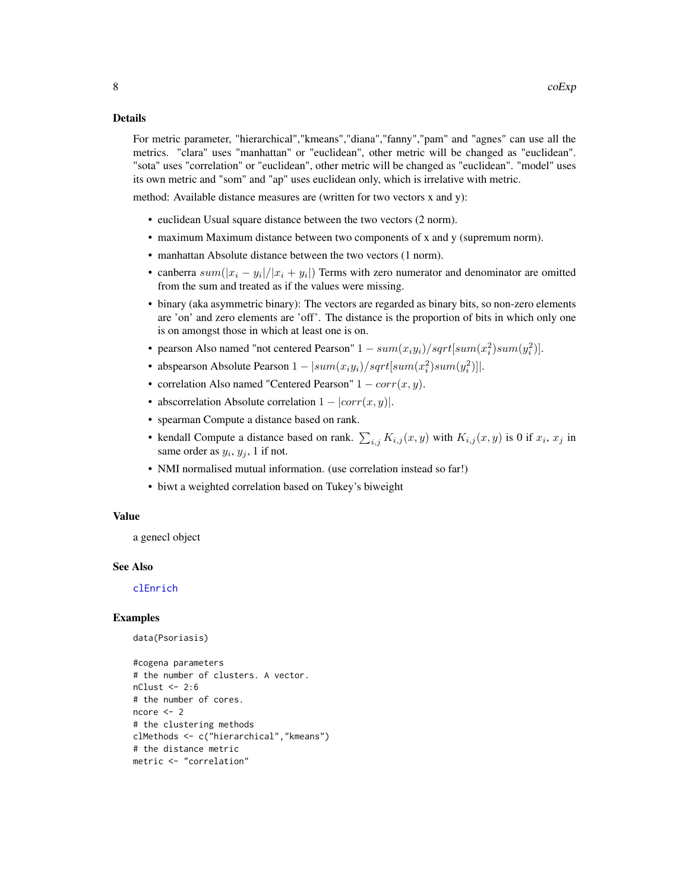#### <span id="page-7-0"></span>Details

For metric parameter, "hierarchical","kmeans","diana","fanny","pam" and "agnes" can use all the metrics. "clara" uses "manhattan" or "euclidean", other metric will be changed as "euclidean". "sota" uses "correlation" or "euclidean", other metric will be changed as "euclidean". "model" uses its own metric and "som" and "ap" uses euclidean only, which is irrelative with metric.

method: Available distance measures are (written for two vectors x and y):

- euclidean Usual square distance between the two vectors (2 norm).
- maximum Maximum distance between two components of x and y (supremum norm).
- manhattan Absolute distance between the two vectors (1 norm).
- canberra  $sum(|x_i y_i|/|x_i + y_i|)$  Terms with zero numerator and denominator are omitted from the sum and treated as if the values were missing.
- binary (aka asymmetric binary): The vectors are regarded as binary bits, so non-zero elements are 'on' and zero elements are 'off'. The distance is the proportion of bits in which only one is on amongst those in which at least one is on.
- pearson Also named "not centered Pearson"  $1 \frac{sum(x_i y_i)}{sqrt{sqrt{x_i^2}}sum(x_i^2)sum(y_i^2)}$ .
- abspearson Absolute Pearson  $1 |sum(x_i y_i)/sqrt(x_i^2)sum(y_i^2)|$ .
- correlation Also named "Centered Pearson"  $1 corr(x, y)$ .
- abscorrelation Absolute correlation  $1 |corr(x, y)|$ .
- spearman Compute a distance based on rank.
- kendall Compute a distance based on rank.  $\sum_{i,j} K_{i,j}(x, y)$  with  $K_{i,j}(x, y)$  is 0 if  $x_i, x_j$  in same order as  $y_i$ ,  $y_j$ , 1 if not.
- NMI normalised mutual information. (use correlation instead so far!)
- biwt a weighted correlation based on Tukey's biweight

#### Value

a genecl object

#### See Also

[clEnrich](#page-2-1)

#### Examples

```
data(Psoriasis)
```
#cogena parameters # the number of clusters. A vector.  $nClust < -2:6$ # the number of cores. ncore <- 2 # the clustering methods clMethods <- c("hierarchical","kmeans") # the distance metric metric <- "correlation"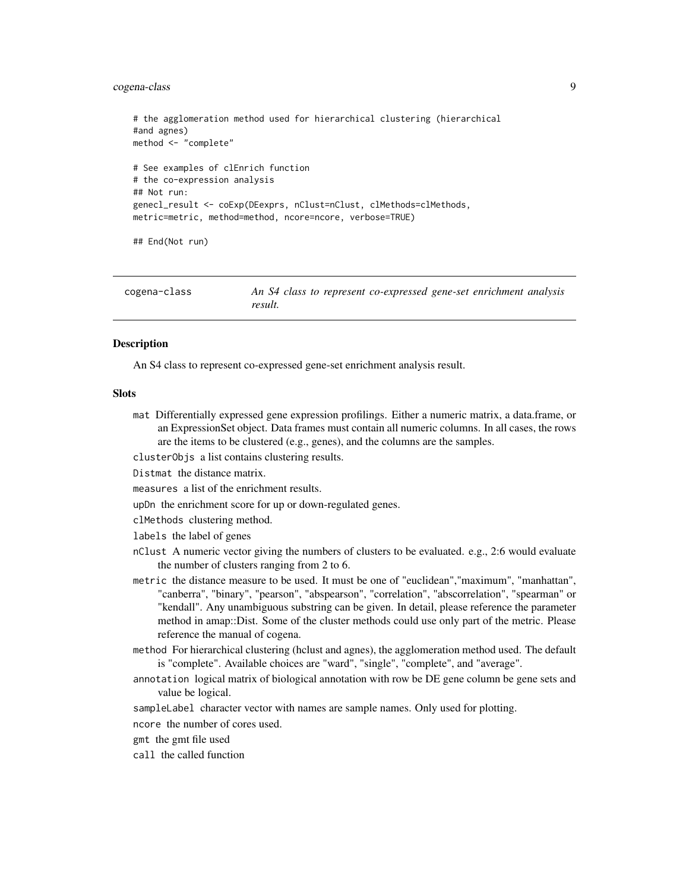# <span id="page-8-0"></span>cogena-class 9

```
# the agglomeration method used for hierarchical clustering (hierarchical
#and agnes)
method <- "complete"
# See examples of clEnrich function
# the co-expression analysis
## Not run:
genecl_result <- coExp(DEexprs, nClust=nClust, clMethods=clMethods,
metric=metric, method=method, ncore=ncore, verbose=TRUE)
## End(Not run)
```

| cogena-class | An S4 class to represent co-expressed gene-set enrichment analysis |
|--------------|--------------------------------------------------------------------|
|              | result.                                                            |

#### Description

An S4 class to represent co-expressed gene-set enrichment analysis result.

#### **Slots**

mat Differentially expressed gene expression profilings. Either a numeric matrix, a data.frame, or an ExpressionSet object. Data frames must contain all numeric columns. In all cases, the rows are the items to be clustered (e.g., genes), and the columns are the samples.

clusterObjs a list contains clustering results.

- Distmat the distance matrix.
- measures a list of the enrichment results.
- upDn the enrichment score for up or down-regulated genes.
- clMethods clustering method.
- labels the label of genes
- nClust A numeric vector giving the numbers of clusters to be evaluated. e.g., 2:6 would evaluate the number of clusters ranging from 2 to 6.
- metric the distance measure to be used. It must be one of "euclidean","maximum", "manhattan", "canberra", "binary", "pearson", "abspearson", "correlation", "abscorrelation", "spearman" or "kendall". Any unambiguous substring can be given. In detail, please reference the parameter method in amap::Dist. Some of the cluster methods could use only part of the metric. Please reference the manual of cogena.
- method For hierarchical clustering (hclust and agnes), the agglomeration method used. The default is "complete". Available choices are "ward", "single", "complete", and "average".
- annotation logical matrix of biological annotation with row be DE gene column be gene sets and value be logical.
- sampleLabel character vector with names are sample names. Only used for plotting.
- ncore the number of cores used.
- gmt the gmt file used
- call the called function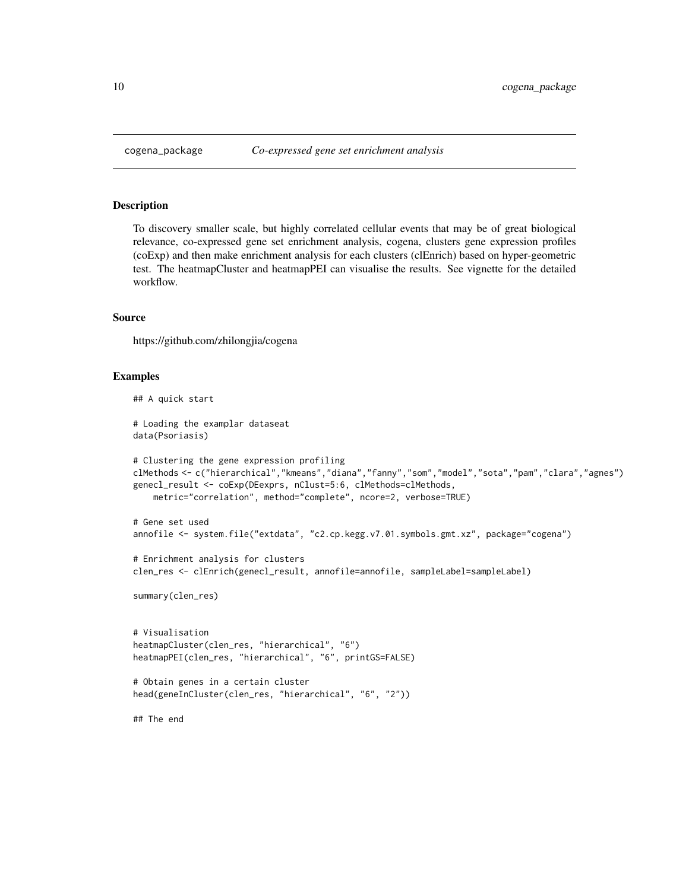To discovery smaller scale, but highly correlated cellular events that may be of great biological relevance, co-expressed gene set enrichment analysis, cogena, clusters gene expression profiles (coExp) and then make enrichment analysis for each clusters (clEnrich) based on hyper-geometric test. The heatmapCluster and heatmapPEI can visualise the results. See vignette for the detailed workflow.

#### Source

https://github.com/zhilongjia/cogena

#### Examples

```
## A quick start
```
# Loading the examplar dataseat data(Psoriasis)

```
# Clustering the gene expression profiling
clMethods <- c("hierarchical","kmeans","diana","fanny","som","model","sota","pam","clara","agnes")
genecl_result <- coExp(DEexprs, nClust=5:6, clMethods=clMethods,
    metric="correlation", method="complete", ncore=2, verbose=TRUE)
```

```
# Gene set used
annofile <- system.file("extdata", "c2.cp.kegg.v7.01.symbols.gmt.xz", package="cogena")
```

```
# Enrichment analysis for clusters
clen_res <- clEnrich(genecl_result, annofile=annofile, sampleLabel=sampleLabel)
```
summary(clen\_res)

# Visualisation heatmapCluster(clen\_res, "hierarchical", "6") heatmapPEI(clen\_res, "hierarchical", "6", printGS=FALSE)

```
# Obtain genes in a certain cluster
head(geneInCluster(clen_res, "hierarchical", "6", "2"))
```
## The end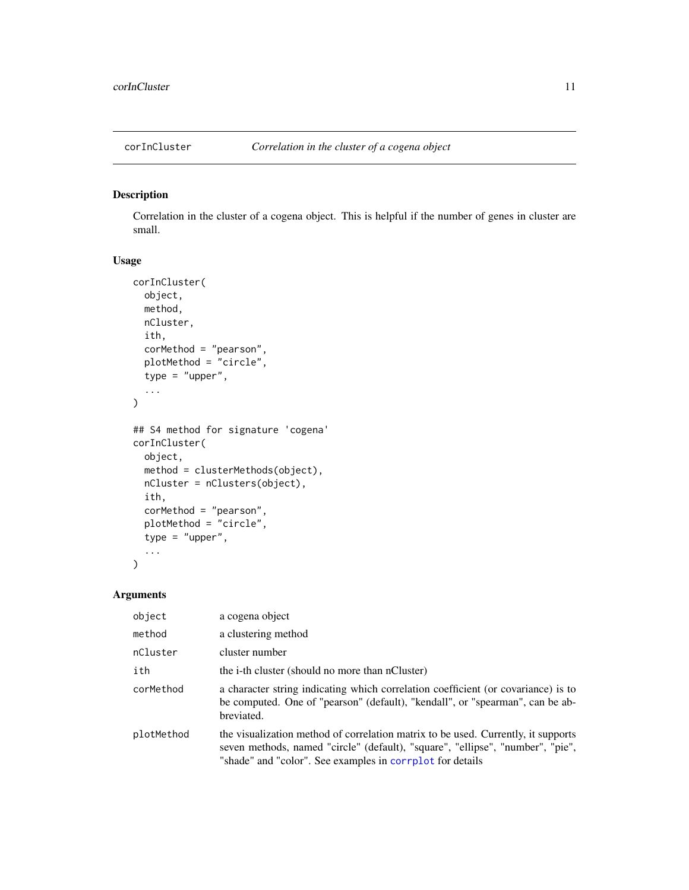<span id="page-10-0"></span>

Correlation in the cluster of a cogena object. This is helpful if the number of genes in cluster are small.

# Usage

```
corInCluster(
  object,
 method,
 nCluster,
  ith,
  corMethod = "pearson",
 plotMethod = "circle",
  type = "upper",...
)
## S4 method for signature 'cogena'
corInCluster(
  object,
 method = clusterMethods(object),
 nCluster = nClusters(object),
  ith,
  corMethod = "pearson",
 plotMethod = "circle",
  type = "upper",
  ...
\mathcal{L}
```
#### Arguments

| object     | a cogena object                                                                                                                                                                                                                  |
|------------|----------------------------------------------------------------------------------------------------------------------------------------------------------------------------------------------------------------------------------|
| method     | a clustering method                                                                                                                                                                                                              |
| nCluster   | cluster number                                                                                                                                                                                                                   |
| ith        | the i-th cluster (should no more than nCluster)                                                                                                                                                                                  |
| corMethod  | a character string indicating which correlation coefficient (or covariance) is to<br>be computed. One of "pearson" (default), "kendall", or "spearman", can be ab-<br>breviated.                                                 |
| plotMethod | the visualization method of correlation matrix to be used. Currently, it supports<br>seven methods, named "circle" (default), "square", "ellipse", "number", "pie",<br>"shade" and "color". See examples in corrplot for details |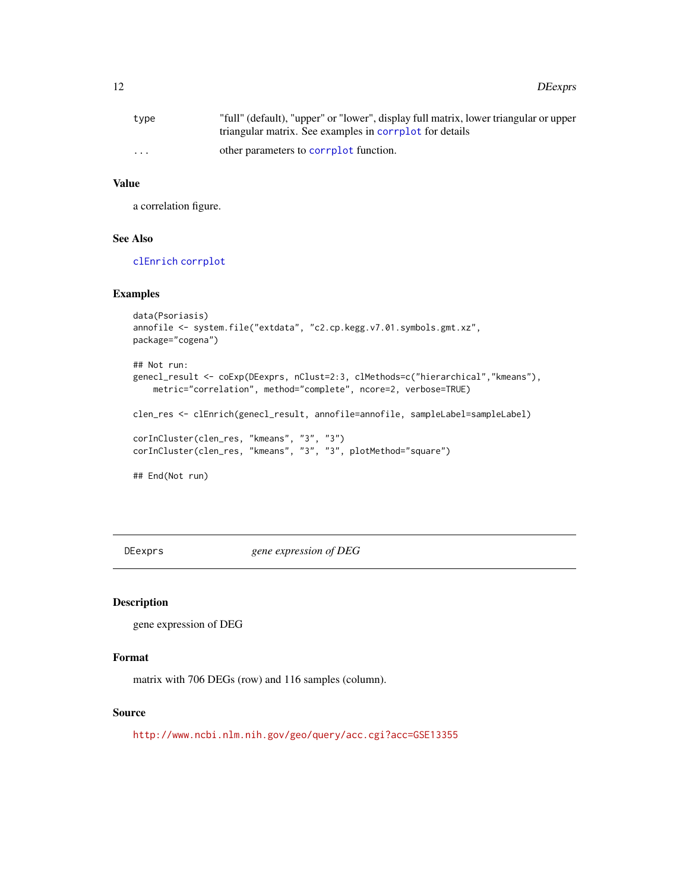<span id="page-11-0"></span>

| type                    | "full" (default), "upper" or "lower", display full matrix, lower triangular or upper<br>triangular matrix. See examples in correlot for details |
|-------------------------|-------------------------------------------------------------------------------------------------------------------------------------------------|
| $\cdot$ $\cdot$ $\cdot$ | other parameters to corrplot function.                                                                                                          |

#### Value

a correlation figure.

#### See Also

[clEnrich](#page-2-1) [corrplot](#page-0-0)

#### Examples

```
data(Psoriasis)
annofile <- system.file("extdata", "c2.cp.kegg.v7.01.symbols.gmt.xz",
package="cogena")
## Not run:
genecl_result <- coExp(DEexprs, nClust=2:3, clMethods=c("hierarchical","kmeans"),
   metric="correlation", method="complete", ncore=2, verbose=TRUE)
clen_res <- clEnrich(genecl_result, annofile=annofile, sampleLabel=sampleLabel)
corInCluster(clen_res, "kmeans", "3", "3")
corInCluster(clen_res, "kmeans", "3", "3", plotMethod="square")
## End(Not run)
```
DEexprs *gene expression of DEG*

# Description

gene expression of DEG

#### Format

matrix with 706 DEGs (row) and 116 samples (column).

# Source

<http://www.ncbi.nlm.nih.gov/geo/query/acc.cgi?acc=GSE13355>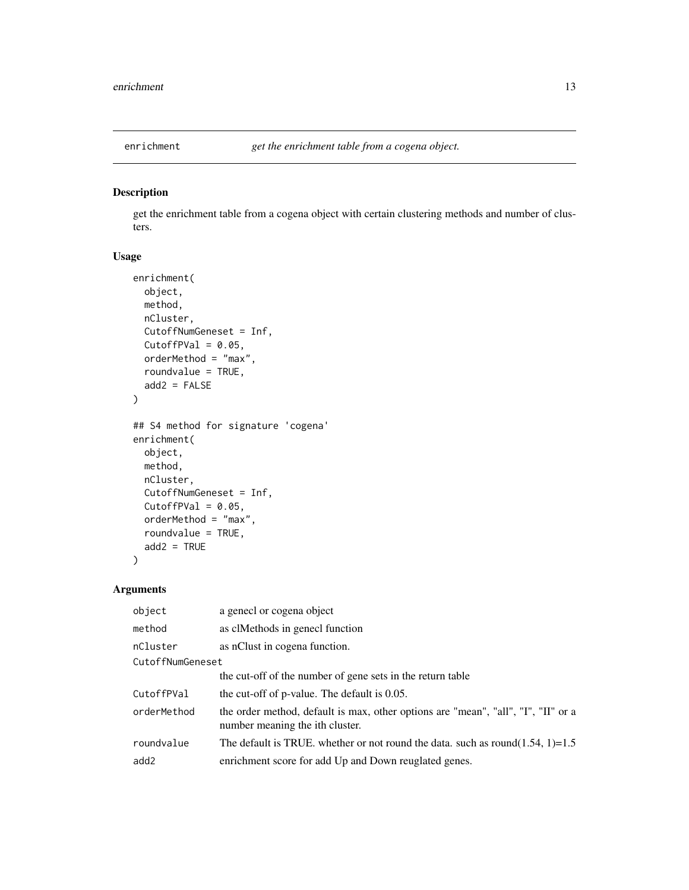<span id="page-12-0"></span>

get the enrichment table from a cogena object with certain clustering methods and number of clusters.

# Usage

```
enrichment(
 object,
 method,
 nCluster,
  CutoffNumGeneset = Inf,
 CutoffPVal = 0.05,
  orderMethod = "max",
  roundvalue = TRUE,
  add2 = FALSE)
## S4 method for signature 'cogena'
enrichment(
 object,
 method,
 nCluster,
 CutoffNumGeneset = Inf,
  CutoffPVal = 0.05,
 orderMethod = "max",
  roundvalue = TRUE,
  add2 = TRUE)
```
#### Arguments

| object           | a genecl or cogena object                                                                                            |  |
|------------------|----------------------------------------------------------------------------------------------------------------------|--|
| method           | as clMethods in genecl function                                                                                      |  |
| nCluster         | as nClust in cogena function.                                                                                        |  |
| CutoffNumGeneset |                                                                                                                      |  |
|                  | the cut-off of the number of gene sets in the return table                                                           |  |
| CutoffPVal       | the cut-off of p-value. The default is 0.05.                                                                         |  |
| orderMethod      | the order method, default is max, other options are "mean", "all", "I", "II" or a<br>number meaning the ith cluster. |  |
| roundvalue       | The default is TRUE, whether or not round the data, such as round $(1.54, 1)=1.5$                                    |  |
| add2             | enrichment score for add Up and Down reuglated genes.                                                                |  |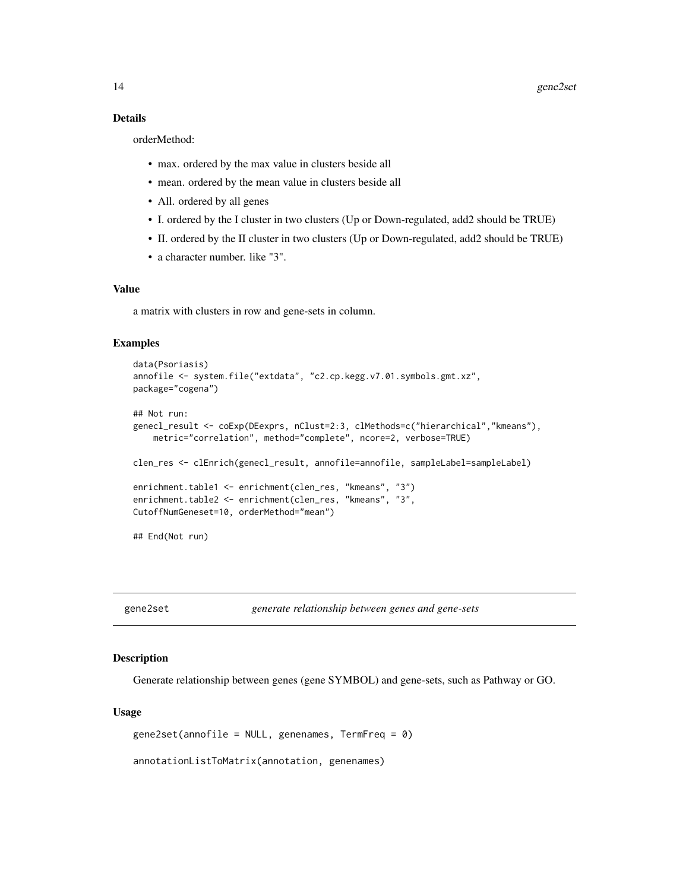# <span id="page-13-0"></span>Details

orderMethod:

- max. ordered by the max value in clusters beside all
- mean. ordered by the mean value in clusters beside all
- All. ordered by all genes
- I. ordered by the I cluster in two clusters (Up or Down-regulated, add2 should be TRUE)
- II. ordered by the II cluster in two clusters (Up or Down-regulated, add2 should be TRUE)
- a character number. like "3".

# Value

a matrix with clusters in row and gene-sets in column.

#### Examples

```
data(Psoriasis)
annofile <- system.file("extdata", "c2.cp.kegg.v7.01.symbols.gmt.xz",
package="cogena")
## Not run:
genecl_result <- coExp(DEexprs, nClust=2:3, clMethods=c("hierarchical","kmeans"),
   metric="correlation", method="complete", ncore=2, verbose=TRUE)
clen_res <- clEnrich(genecl_result, annofile=annofile, sampleLabel=sampleLabel)
enrichment.table1 <- enrichment(clen_res, "kmeans", "3")
enrichment.table2 <- enrichment(clen_res, "kmeans", "3",
CutoffNumGeneset=10, orderMethod="mean")
## End(Not run)
```
gene2set *generate relationship between genes and gene-sets*

#### Description

Generate relationship between genes (gene SYMBOL) and gene-sets, such as Pathway or GO.

#### Usage

 $gene2set(annofile = NULL, genomes, TermFreq = 0)$ 

annotationListToMatrix(annotation, genenames)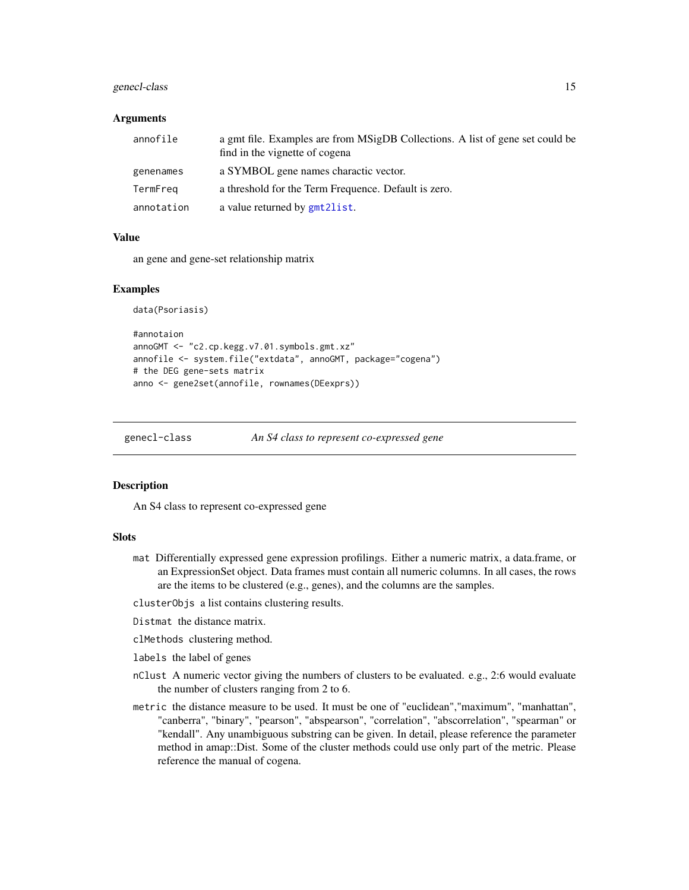# <span id="page-14-0"></span>genecl-class 15

#### Arguments

| annofile   | a gmt file. Examples are from MSigDB Collections. A list of gene set could be<br>find in the vignette of cogena |
|------------|-----------------------------------------------------------------------------------------------------------------|
| genenames  | a SYMBOL gene names charactic vector.                                                                           |
| TermFreg   | a threshold for the Term Frequence. Default is zero.                                                            |
| annotation | a value returned by gmt2list.                                                                                   |

#### Value

an gene and gene-set relationship matrix

#### Examples

data(Psoriasis)

```
#annotaion
annoGMT <- "c2.cp.kegg.v7.01.symbols.gmt.xz"
annofile <- system.file("extdata", annoGMT, package="cogena")
# the DEG gene-sets matrix
anno <- gene2set(annofile, rownames(DEexprs))
```
genecl-class *An S4 class to represent co-expressed gene*

#### Description

An S4 class to represent co-expressed gene

#### **Slots**

- mat Differentially expressed gene expression profilings. Either a numeric matrix, a data.frame, or an ExpressionSet object. Data frames must contain all numeric columns. In all cases, the rows are the items to be clustered (e.g., genes), and the columns are the samples.
- clusterObjs a list contains clustering results.
- Distmat the distance matrix.
- clMethods clustering method.
- labels the label of genes
- nClust A numeric vector giving the numbers of clusters to be evaluated. e.g., 2:6 would evaluate the number of clusters ranging from 2 to 6.
- metric the distance measure to be used. It must be one of "euclidean","maximum", "manhattan", "canberra", "binary", "pearson", "abspearson", "correlation", "abscorrelation", "spearman" or "kendall". Any unambiguous substring can be given. In detail, please reference the parameter method in amap::Dist. Some of the cluster methods could use only part of the metric. Please reference the manual of cogena.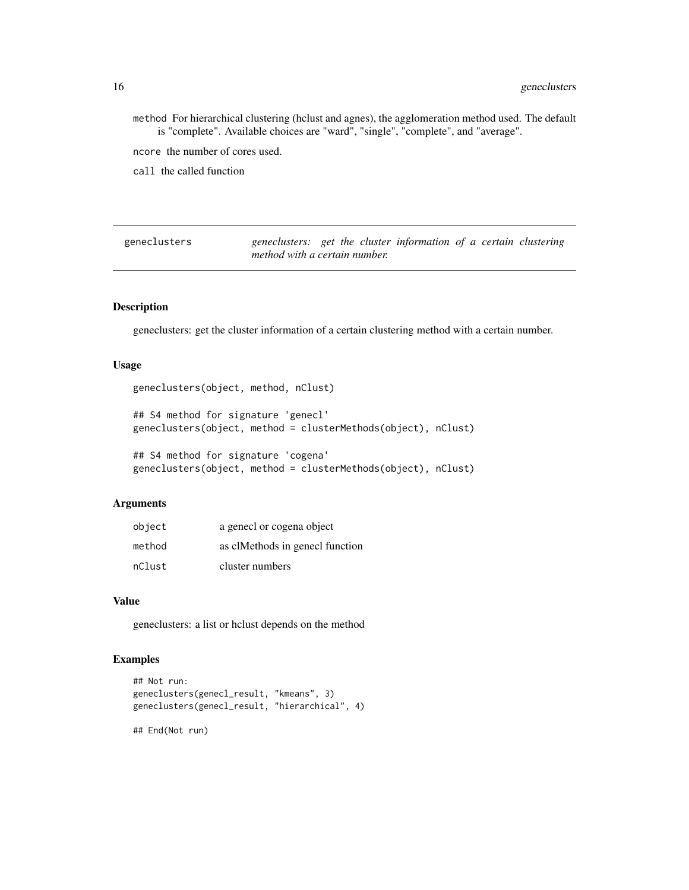method For hierarchical clustering (hclust and agnes), the agglomeration method used. The default is "complete". Available choices are "ward", "single", "complete", and "average".

ncore the number of cores used.

call the called function

geneclusters *geneclusters: get the cluster information of a certain clustering method with a certain number.*

#### Description

geneclusters: get the cluster information of a certain clustering method with a certain number.

# Usage

```
geneclusters(object, method, nClust)
```
## S4 method for signature 'genecl' geneclusters(object, method = clusterMethods(object), nClust)

## S4 method for signature 'cogena' geneclusters(object, method = clusterMethods(object), nClust)

#### Arguments

| object | a genecl or cogena object       |
|--------|---------------------------------|
| method | as clMethods in genecl function |
| nClust | cluster numbers                 |

#### Value

geneclusters: a list or hclust depends on the method

```
## Not run:
geneclusters(genecl_result, "kmeans", 3)
geneclusters(genecl_result, "hierarchical", 4)
## End(Not run)
```
<span id="page-15-0"></span>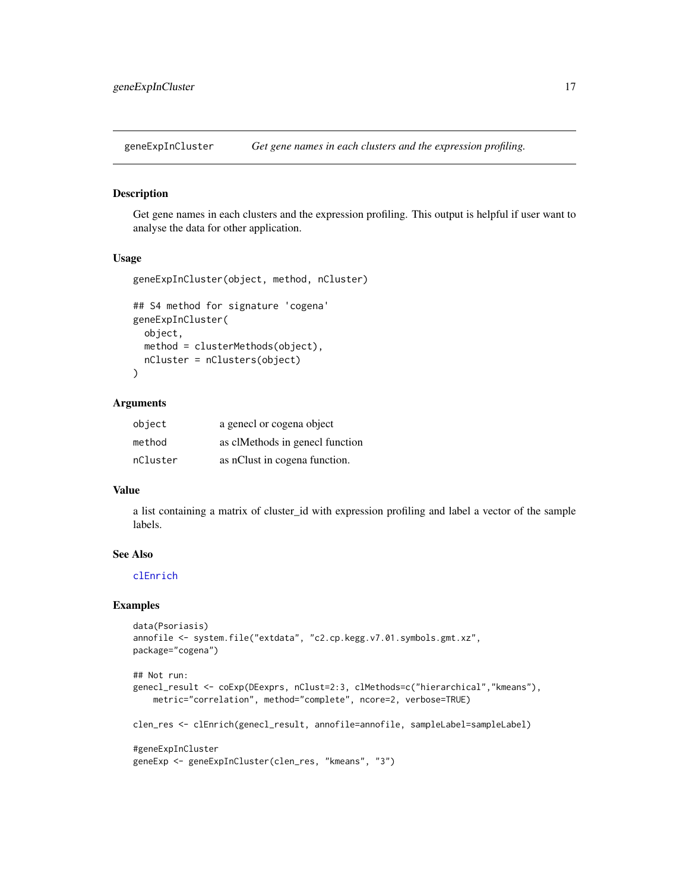<span id="page-16-0"></span>

Get gene names in each clusters and the expression profiling. This output is helpful if user want to analyse the data for other application.

#### Usage

```
geneExpInCluster(object, method, nCluster)
```

```
## S4 method for signature 'cogena'
geneExpInCluster(
 object,
 method = clusterMethods(object),
 nCluster = nClusters(object)
\lambda
```
#### Arguments

| object   | a genecl or cogena object       |
|----------|---------------------------------|
| method   | as clMethods in genecl function |
| nCluster | as nClust in cogena function.   |

# Value

a list containing a matrix of cluster\_id with expression profiling and label a vector of the sample labels.

#### See Also

[clEnrich](#page-2-1)

```
data(Psoriasis)
annofile <- system.file("extdata", "c2.cp.kegg.v7.01.symbols.gmt.xz",
package="cogena")
## Not run:
genecl_result <- coExp(DEexprs, nClust=2:3, clMethods=c("hierarchical","kmeans"),
   metric="correlation", method="complete", ncore=2, verbose=TRUE)
clen_res <- clEnrich(genecl_result, annofile=annofile, sampleLabel=sampleLabel)
#geneExpInCluster
geneExp <- geneExpInCluster(clen_res, "kmeans", "3")
```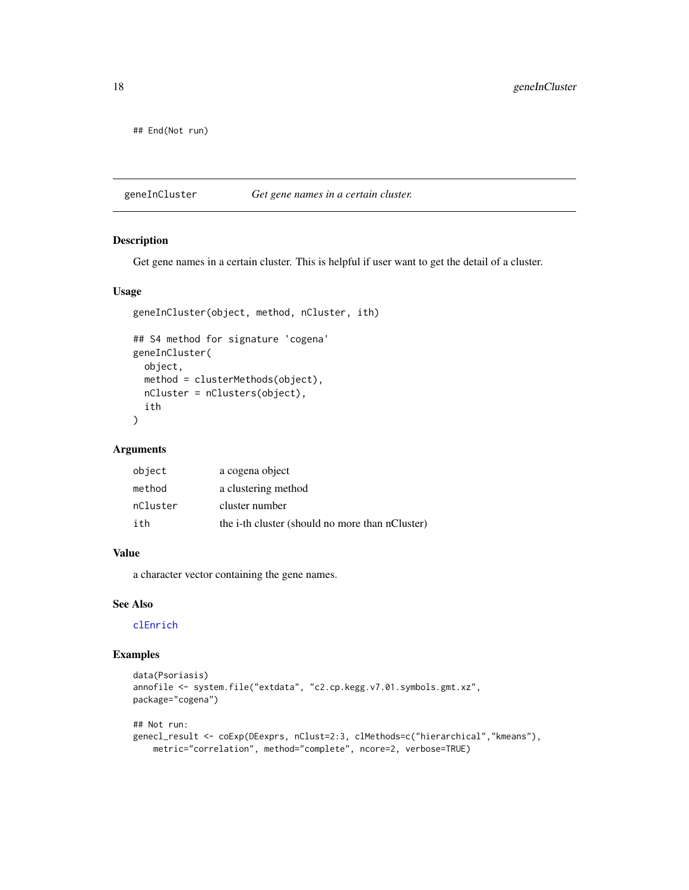<span id="page-17-0"></span>## End(Not run)

geneInCluster *Get gene names in a certain cluster.*

# Description

Get gene names in a certain cluster. This is helpful if user want to get the detail of a cluster.

# Usage

```
geneInCluster(object, method, nCluster, ith)
## S4 method for signature 'cogena'
geneInCluster(
 object,
 method = clusterMethods(object),
 nCluster = nClusters(object),
  ith
\mathcal{L}
```
#### Arguments

| object   | a cogena object                                 |
|----------|-------------------------------------------------|
| method   | a clustering method                             |
| nCluster | cluster number                                  |
| ith      | the i-th cluster (should no more than nCluster) |

# Value

a character vector containing the gene names.

# See Also

#### [clEnrich](#page-2-1)

```
data(Psoriasis)
annofile <- system.file("extdata", "c2.cp.kegg.v7.01.symbols.gmt.xz",
package="cogena")
## Not run:
genecl_result <- coExp(DEexprs, nClust=2:3, clMethods=c("hierarchical","kmeans"),
   metric="correlation", method="complete", ncore=2, verbose=TRUE)
```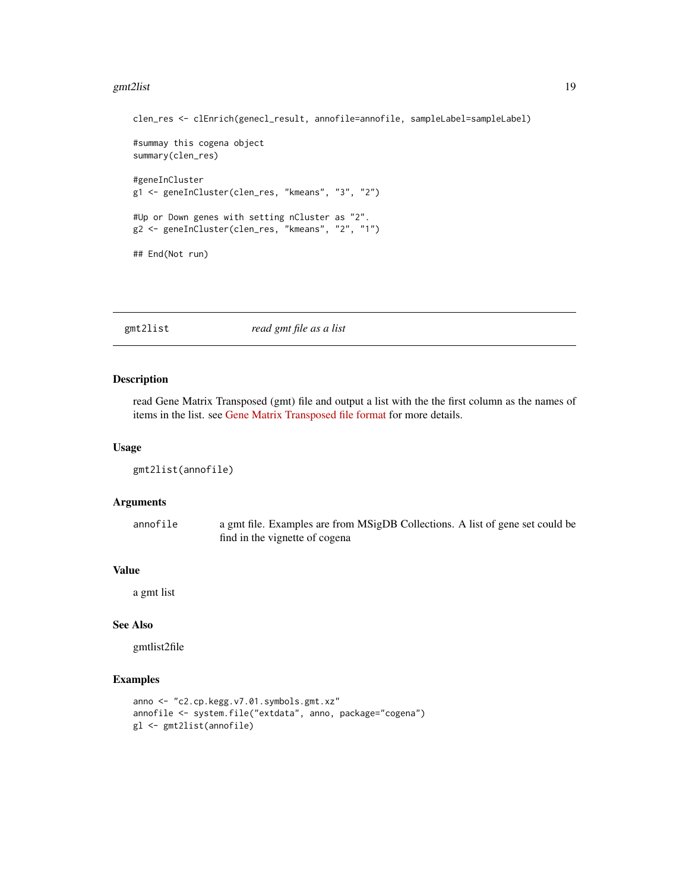#### <span id="page-18-0"></span>gmt2list 19

```
clen_res <- clEnrich(genecl_result, annofile=annofile, sampleLabel=sampleLabel)
#summay this cogena object
summary(clen_res)
#geneInCluster
g1 <- geneInCluster(clen_res, "kmeans", "3", "2")
#Up or Down genes with setting nCluster as "2".
g2 <- geneInCluster(clen_res, "kmeans", "2", "1")
## End(Not run)
```
<span id="page-18-1"></span>

| gmt2list | read gmt file as a list |  |
|----------|-------------------------|--|
|----------|-------------------------|--|

#### Description

read Gene Matrix Transposed (gmt) file and output a list with the the first column as the names of items in the list. see [Gene Matrix Transposed file format](http://www.broadinstitute.org/cancer/software/gsea/wiki/index.php/Data_formats) for more details.

#### Usage

```
gmt2list(annofile)
```
# Arguments

| annofile | a gmt file. Examples are from MSigDB Collections. A list of gene set could be |
|----------|-------------------------------------------------------------------------------|
|          | find in the vignette of cogena                                                |

# Value

a gmt list

# See Also

gmtlist2file

```
anno <- "c2.cp.kegg.v7.01.symbols.gmt.xz"
annofile <- system.file("extdata", anno, package="cogena")
gl <- gmt2list(annofile)
```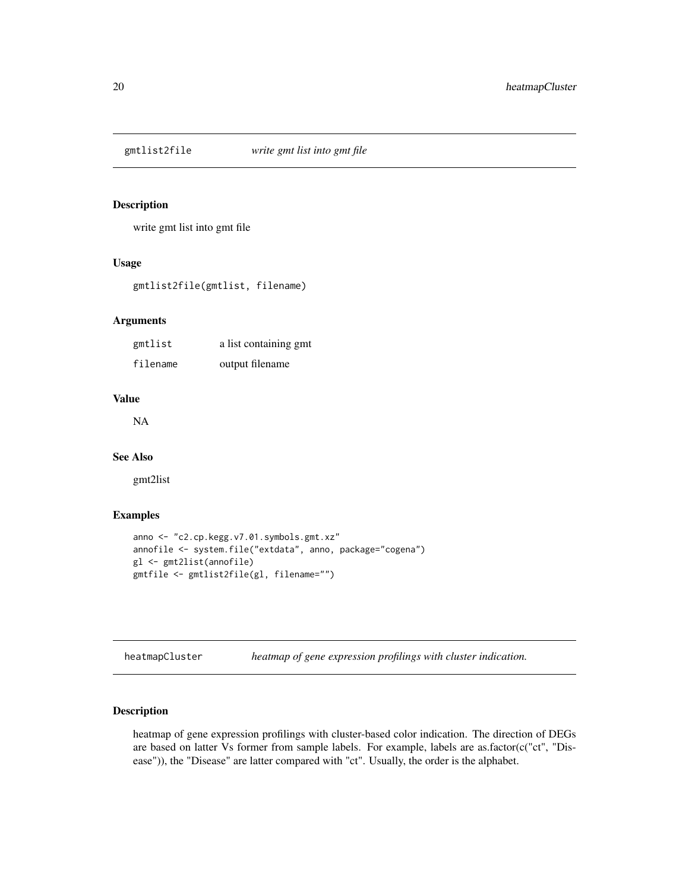<span id="page-19-0"></span>

write gmt list into gmt file

#### Usage

gmtlist2file(gmtlist, filename)

# Arguments

| gmtlist  | a list containing gmt |
|----------|-----------------------|
| filename | output filename       |

# Value

NA

# See Also

gmt2list

# Examples

```
anno <- "c2.cp.kegg.v7.01.symbols.gmt.xz"
annofile <- system.file("extdata", anno, package="cogena")
gl <- gmt2list(annofile)
gmtfile <- gmtlist2file(gl, filename="")
```
<span id="page-19-1"></span>heatmapCluster *heatmap of gene expression profilings with cluster indication.*

# Description

heatmap of gene expression profilings with cluster-based color indication. The direction of DEGs are based on latter Vs former from sample labels. For example, labels are as.factor(c("ct", "Disease")), the "Disease" are latter compared with "ct". Usually, the order is the alphabet.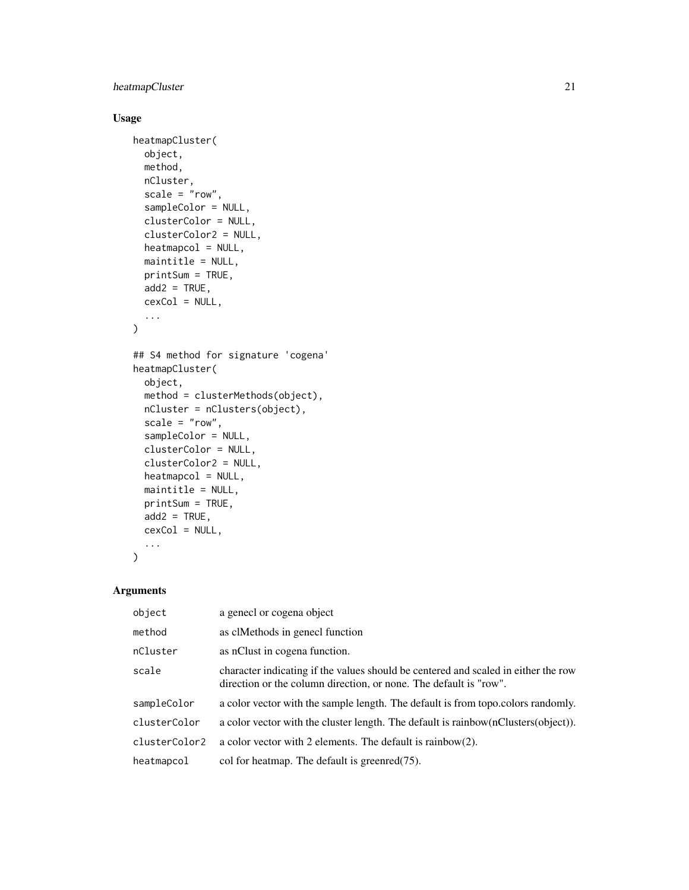# heatmapCluster 21

# Usage

```
heatmapCluster(
  object,
 method,
 nCluster,
  scale = "row",sampleColor = NULL,
  clusterColor = NULL,
  clusterColor2 = NULL,
  heatmapcol = NULL,
 maintitle = NULL,
 printSum = TRUE,
  add2 = TRUE,cexCol = NULL,
  ...
)
## S4 method for signature 'cogena'
heatmapCluster(
 object,
 method = clusterMethods(object),
 nCluster = nClusters(object),
  scale = "row",sampleColor = NULL,
  clusterColor = NULL,
  clusterColor2 = NULL,
  heatmapcol = NULL,
 maintitle = NULL,
 printSum = TRUE,
  add2 = TRUE,cexCol = NULL,
  ...
```
 $\mathcal{L}$ 

# Arguments

| object        | a genecl or cogena object                                                                                                                               |
|---------------|---------------------------------------------------------------------------------------------------------------------------------------------------------|
| method        | as clMethods in genecl function                                                                                                                         |
| nCluster      | as nClust in cogena function.                                                                                                                           |
| scale         | character indicating if the values should be centered and scaled in either the row<br>direction or the column direction, or none. The default is "row". |
| sampleColor   | a color vector with the sample length. The default is from topo.colors randomly.                                                                        |
| clusterColor  | a color vector with the cluster length. The default is rainbow (nClusters (object)).                                                                    |
| clusterColor2 | a color vector with 2 elements. The default is rainbow(2).                                                                                              |
| heatmapcol    | col for heatmap. The default is greenred $(75)$ .                                                                                                       |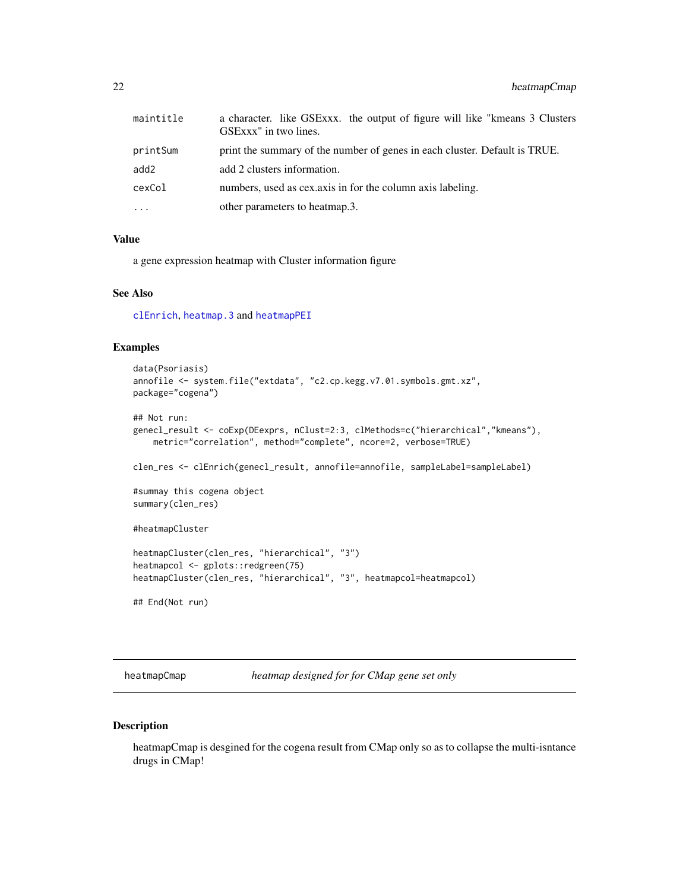<span id="page-21-0"></span>

| maintitle | a character. like GSExxx. the output of figure will like "kmeans 3 Clusters"<br>GSExxx" in two lines. |
|-----------|-------------------------------------------------------------------------------------------------------|
| printSum  | print the summary of the number of genes in each cluster. Default is TRUE.                            |
| add2      | add 2 clusters information.                                                                           |
| cexCol    | numbers, used as cex.axis in for the column axis labeling.                                            |
| $\cdots$  | other parameters to heatmap.3.                                                                        |

## Value

a gene expression heatmap with Cluster information figure

# See Also

[clEnrich](#page-2-1), [heatmap.3](#page-0-0) and [heatmapPEI](#page-24-1)

# Examples

```
data(Psoriasis)
annofile <- system.file("extdata", "c2.cp.kegg.v7.01.symbols.gmt.xz",
package="cogena")
## Not run:
genecl_result <- coExp(DEexprs, nClust=2:3, clMethods=c("hierarchical","kmeans"),
   metric="correlation", method="complete", ncore=2, verbose=TRUE)
clen_res <- clEnrich(genecl_result, annofile=annofile, sampleLabel=sampleLabel)
#summay this cogena object
summary(clen_res)
#heatmapCluster
heatmapCluster(clen_res, "hierarchical", "3")
heatmapcol <- gplots::redgreen(75)
heatmapCluster(clen_res, "hierarchical", "3", heatmapcol=heatmapcol)
## End(Not run)
```
heatmapCmap *heatmap designed for for CMap gene set only*

# Description

heatmapCmap is desgined for the cogena result from CMap only so as to collapse the multi-isntance drugs in CMap!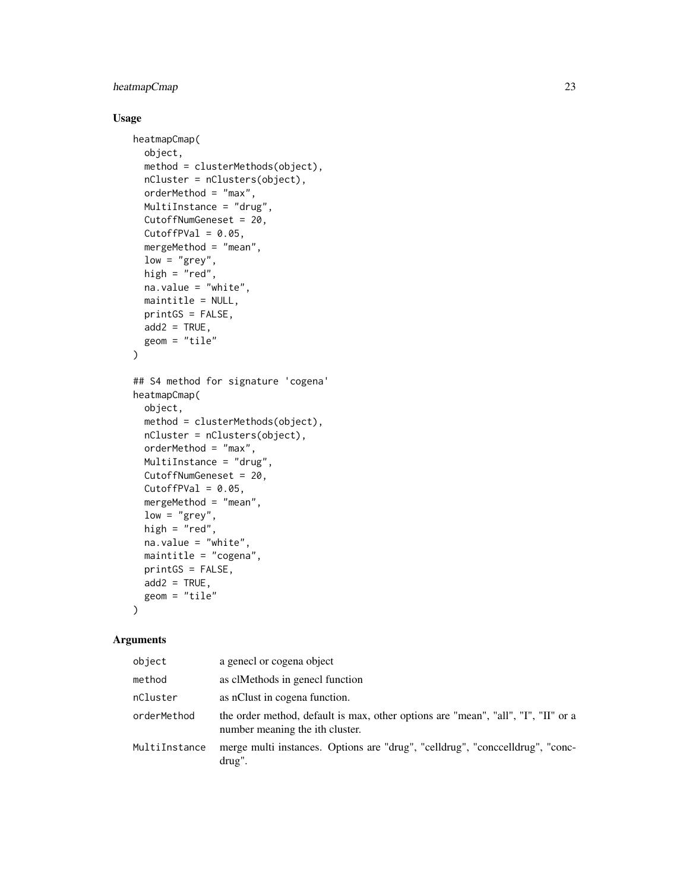# heatmapCmap 23

# Usage

```
heatmapCmap(
 object,
 method = clusterMethods(object),
 nCluster = nClusters(object),
 orderMethod = "max",
 MultiInstance = "drug",
 CutoffNumGeneset = 20,
 CutoffPVal = 0.05,
 mergeMethod = "mean",
 low = "grey",high = "red",na.value = "white",
 maintitle = NULL,
 printGS = FALSE,
 add2 = TRUE,geom = "tile"
)
## S4 method for signature 'cogena'
heatmapCmap(
 object,
 method = clusterMethods(object),
 nCluster = nClusters(object),
 orderMethod = "max",
 MultiInstance = "drug",
 CutoffNumGeneset = 20,
 CutoffPVal = 0.05,
 mergeMethod = "mean",
 low = "grey",
 high = "red",
 na.value = "white",
 maintitle = "cogena",
 printGS = FALSE,
 add2 = TRUE,geom = "tile")
```
#### Arguments

| object        | a genecl or cogena object                                                                                            |
|---------------|----------------------------------------------------------------------------------------------------------------------|
| method        | as clMethods in genecl function                                                                                      |
| nCluster      | as nClust in cogena function.                                                                                        |
| orderMethod   | the order method, default is max, other options are "mean", "all", "I", "II" or a<br>number meaning the ith cluster. |
| MultiInstance | merge multi instances. Options are "drug", "celldrug", "concelldrug", "conc-<br>drug".                               |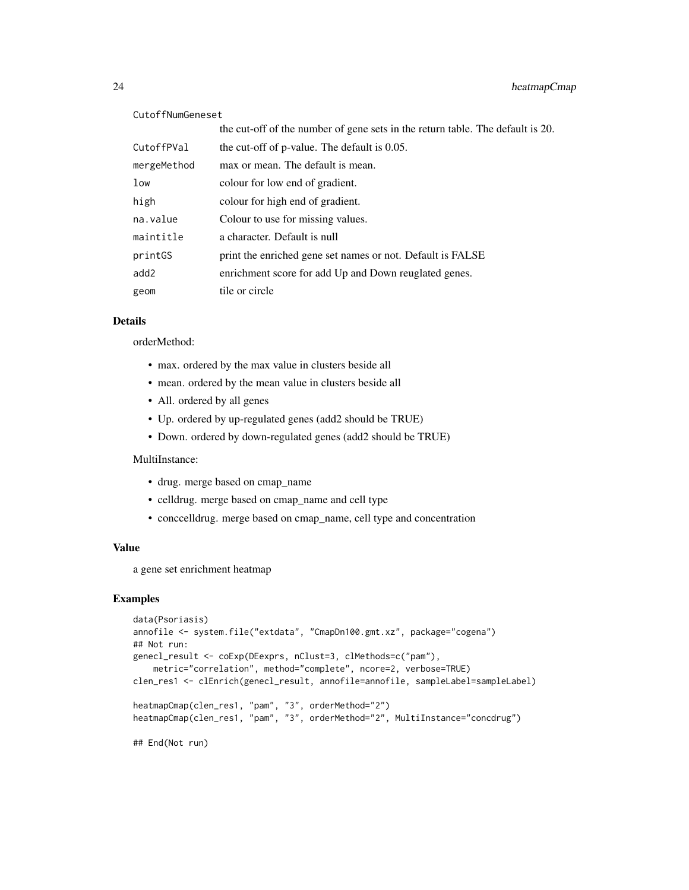#### CutoffNumGeneset

|             | the cut-off of the number of gene sets in the return table. The default is 20. |
|-------------|--------------------------------------------------------------------------------|
| CutoffPVal  | the cut-off of p-value. The default is 0.05.                                   |
| mergeMethod | max or mean. The default is mean.                                              |
| low         | colour for low end of gradient.                                                |
| high        | colour for high end of gradient.                                               |
| na.value    | Colour to use for missing values.                                              |
| maintitle   | a character. Default is null                                                   |
| printGS     | print the enriched gene set names or not. Default is FALSE                     |
| add2        | enrichment score for add Up and Down reuglated genes.                          |
| geom        | tile or circle                                                                 |

# Details

orderMethod:

- max. ordered by the max value in clusters beside all
- mean. ordered by the mean value in clusters beside all
- All. ordered by all genes
- Up. ordered by up-regulated genes (add2 should be TRUE)
- Down. ordered by down-regulated genes (add2 should be TRUE)

MultiInstance:

- drug. merge based on cmap\_name
- celldrug. merge based on cmap\_name and cell type
- conccelldrug. merge based on cmap\_name, cell type and concentration

#### Value

a gene set enrichment heatmap

# Examples

```
data(Psoriasis)
annofile <- system.file("extdata", "CmapDn100.gmt.xz", package="cogena")
## Not run:
genecl_result <- coExp(DEexprs, nClust=3, clMethods=c("pam"),
    metric="correlation", method="complete", ncore=2, verbose=TRUE)
clen_res1 <- clEnrich(genecl_result, annofile=annofile, sampleLabel=sampleLabel)
heatmapCmap(clen_res1, "pam", "3", orderMethod="2")
heatmapCmap(clen_res1, "pam", "3", orderMethod="2", MultiInstance="concdrug")
```
## End(Not run)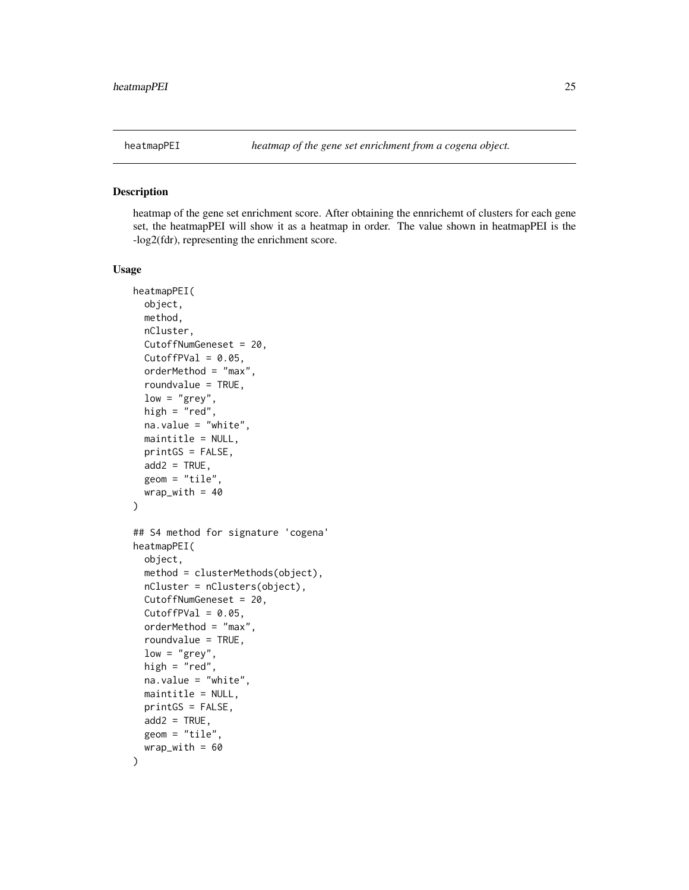<span id="page-24-1"></span><span id="page-24-0"></span>

heatmap of the gene set enrichment score. After obtaining the ennrichemt of clusters for each gene set, the heatmapPEI will show it as a heatmap in order. The value shown in heatmapPEI is the -log2(fdr), representing the enrichment score.

#### Usage

```
heatmapPEI(
  object,
 method,
 nCluster,
  CutoffNumGeneset = 20,
  CutoffPVal = 0.05,
  orderMethod = "max",
  roundvalue = TRUE,
  low = "grey",high = "red",
  na.value = "white",
 maintitle = NULL,
 printGS = FALSE,
  add2 = TRUE,geom = "tile",
 wrap_with = 40)
## S4 method for signature 'cogena'
heatmapPEI(
  object,
 method = clusterMethods(object),
 nCluster = nClusters(object),
  CutoffNumGeneset = 20,
  CutoffPVal = 0.05,
  orderMethod = "max",
  roundvalue = TRUE,
  low = "grey",high = "red",na.value = "white",
 maintitle = NULL,
 printGS = FALSE,
  add2 = TRUE,
 geom = "tile",wrap_with = 60)
```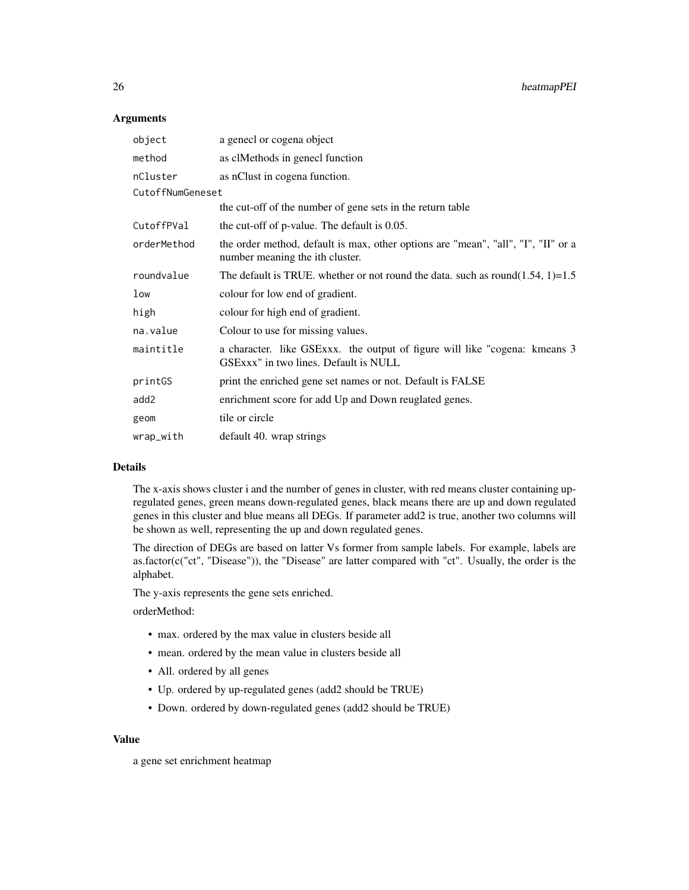#### **Arguments**

| object           | a genecl or cogena object                                                                                            |
|------------------|----------------------------------------------------------------------------------------------------------------------|
| method           | as clMethods in genecl function                                                                                      |
| nCluster         | as nClust in cogena function.                                                                                        |
| CutoffNumGeneset |                                                                                                                      |
|                  | the cut-off of the number of gene sets in the return table                                                           |
| CutoffPVal       | the cut-off of p-value. The default is 0.05.                                                                         |
| orderMethod      | the order method, default is max, other options are "mean", "all", "I", "II" or a<br>number meaning the ith cluster. |
| roundvalue       | The default is TRUE. whether or not round the data. such as round $(1.54, 1)=1.5$                                    |
| low              | colour for low end of gradient.                                                                                      |
| high             | colour for high end of gradient.                                                                                     |
| na.value         | Colour to use for missing values.                                                                                    |
| maintitle        | a character. like GSExxx. the output of figure will like "cogena: kmeans 3<br>GSExxx" in two lines. Default is NULL  |
| printGS          | print the enriched gene set names or not. Default is FALSE                                                           |
| add2             | enrichment score for add Up and Down reuglated genes.                                                                |
| geom             | tile or circle                                                                                                       |
| wrap_with        | default 40. wrap strings                                                                                             |

#### Details

The x-axis shows cluster i and the number of genes in cluster, with red means cluster containing upregulated genes, green means down-regulated genes, black means there are up and down regulated genes in this cluster and blue means all DEGs. If parameter add2 is true, another two columns will be shown as well, representing the up and down regulated genes.

The direction of DEGs are based on latter Vs former from sample labels. For example, labels are as.factor(c("ct", "Disease")), the "Disease" are latter compared with "ct". Usually, the order is the alphabet.

The y-axis represents the gene sets enriched.

orderMethod:

- max. ordered by the max value in clusters beside all
- mean. ordered by the mean value in clusters beside all
- All. ordered by all genes
- Up. ordered by up-regulated genes (add2 should be TRUE)
- Down. ordered by down-regulated genes (add2 should be TRUE)

# Value

a gene set enrichment heatmap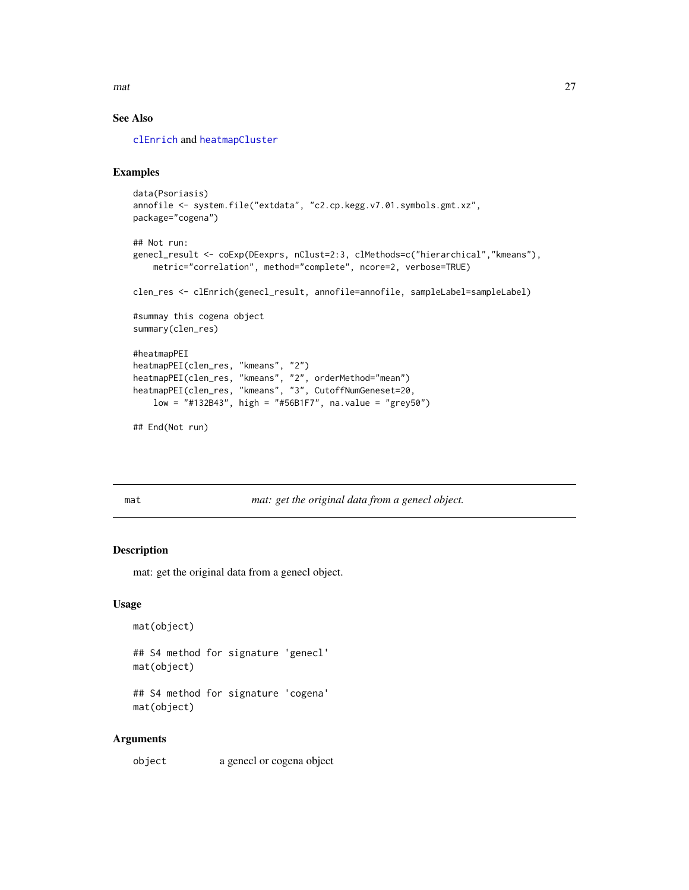<span id="page-26-0"></span> $\frac{1}{27}$  mat 27

# See Also

[clEnrich](#page-2-1) and [heatmapCluster](#page-19-1)

# Examples

```
data(Psoriasis)
annofile <- system.file("extdata", "c2.cp.kegg.v7.01.symbols.gmt.xz",
package="cogena")
## Not run:
genecl_result <- coExp(DEexprs, nClust=2:3, clMethods=c("hierarchical","kmeans"),
   metric="correlation", method="complete", ncore=2, verbose=TRUE)
clen_res <- clEnrich(genecl_result, annofile=annofile, sampleLabel=sampleLabel)
#summay this cogena object
summary(clen_res)
#heatmapPEI
heatmapPEI(clen_res, "kmeans", "2")
heatmapPEI(clen_res, "kmeans", "2", orderMethod="mean")
heatmapPEI(clen_res, "kmeans", "3", CutoffNumGeneset=20,
   low = "#132B43", high = "#56B1F7", na.value = "grey50")
## End(Not run)
```
mat *mat: get the original data from a genecl object.*

# Description

mat: get the original data from a genecl object.

#### Usage

```
mat(object)
```
## S4 method for signature 'genecl' mat(object)

## S4 method for signature 'cogena' mat(object)

#### Arguments

object a genecl or cogena object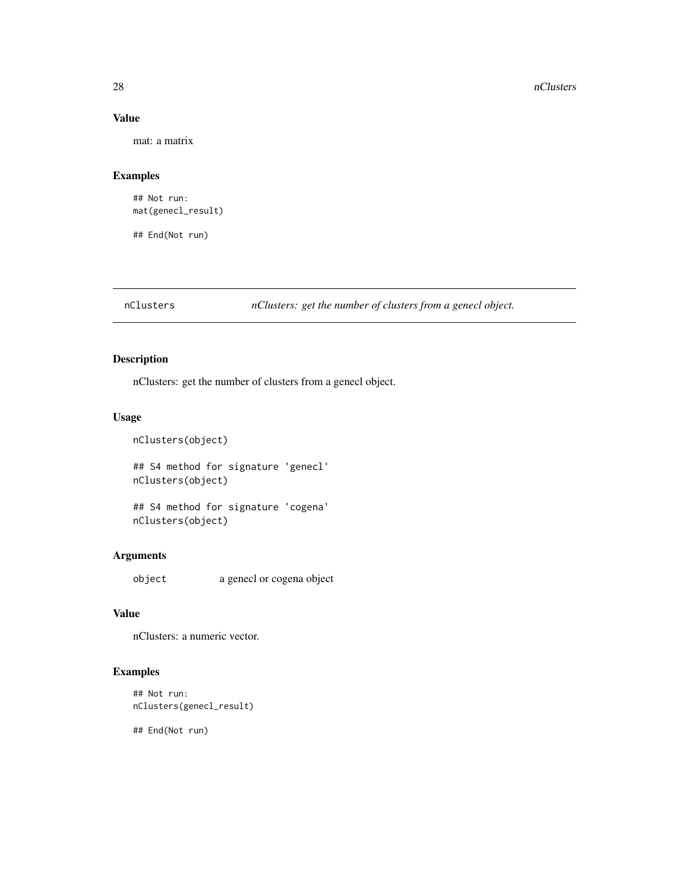# Value

mat: a matrix

# Examples

## Not run: mat(genecl\_result)

## End(Not run)

nClusters *nClusters: get the number of clusters from a genecl object.*

# Description

nClusters: get the number of clusters from a genecl object.

# Usage

```
nClusters(object)
## S4 method for signature 'genecl'
nClusters(object)
```
## S4 method for signature 'cogena' nClusters(object)

# Arguments

object a genecl or cogena object

# Value

nClusters: a numeric vector.

# Examples

```
## Not run:
nClusters(genecl_result)
```
## End(Not run)

<span id="page-27-0"></span>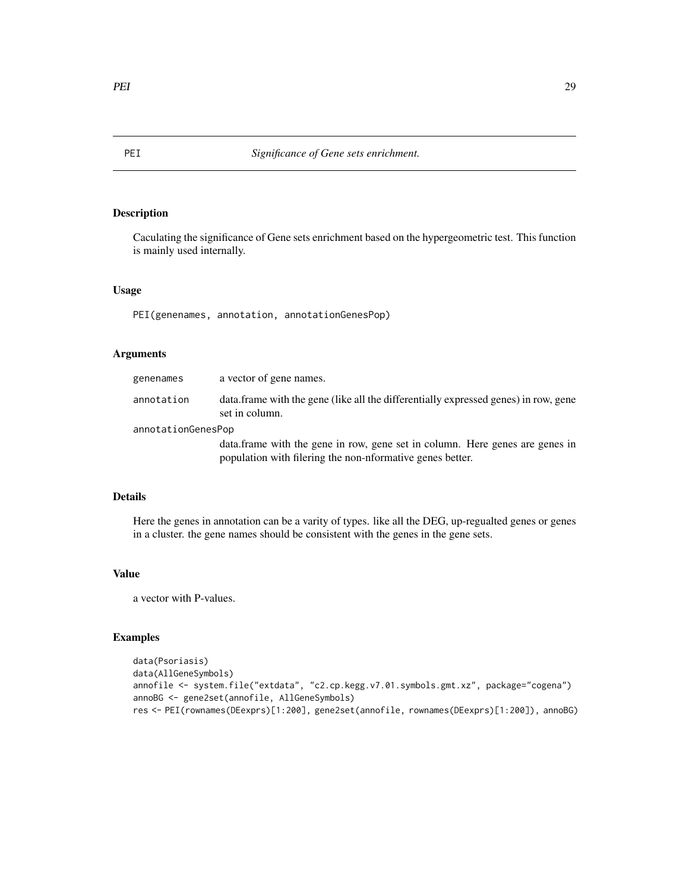Caculating the significance of Gene sets enrichment based on the hypergeometric test. This function is mainly used internally.

# Usage

PEI(genenames, annotation, annotationGenesPop)

# Arguments

| genenames          | a vector of gene names.                                                                                                                    |
|--------------------|--------------------------------------------------------------------------------------------------------------------------------------------|
| annotation         | data frame with the gene (like all the differentially expressed genes) in row, gene<br>set in column.                                      |
| annotationGenesPop |                                                                                                                                            |
|                    | data. frame with the gene in row, gene set in column. Here genes are genes in<br>population with filering the non-nformative genes better. |

# Details

Here the genes in annotation can be a varity of types. like all the DEG, up-regualted genes or genes in a cluster. the gene names should be consistent with the genes in the gene sets.

# Value

a vector with P-values.

```
data(Psoriasis)
data(AllGeneSymbols)
annofile <- system.file("extdata", "c2.cp.kegg.v7.01.symbols.gmt.xz", package="cogena")
annoBG <- gene2set(annofile, AllGeneSymbols)
res <- PEI(rownames(DEexprs)[1:200], gene2set(annofile, rownames(DEexprs)[1:200]), annoBG)
```
<span id="page-28-0"></span>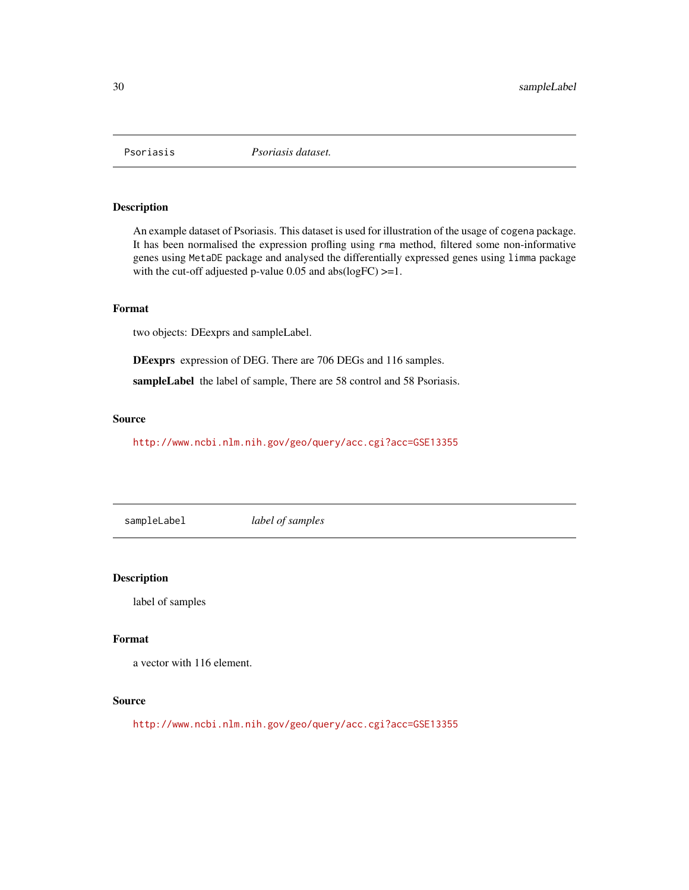<span id="page-29-0"></span>

An example dataset of Psoriasis. This dataset is used for illustration of the usage of cogena package. It has been normalised the expression profling using rma method, filtered some non-informative genes using MetaDE package and analysed the differentially expressed genes using limma package with the cut-off adjuested p-value 0.05 and abs(logFC)  $>=1$ .

# Format

two objects: DEexprs and sampleLabel.

DEexprs expression of DEG. There are 706 DEGs and 116 samples.

sampleLabel the label of sample, There are 58 control and 58 Psoriasis.

#### Source

<http://www.ncbi.nlm.nih.gov/geo/query/acc.cgi?acc=GSE13355>

sampleLabel *label of samples*

Description

label of samples

#### Format

a vector with 116 element.

# Source

<http://www.ncbi.nlm.nih.gov/geo/query/acc.cgi?acc=GSE13355>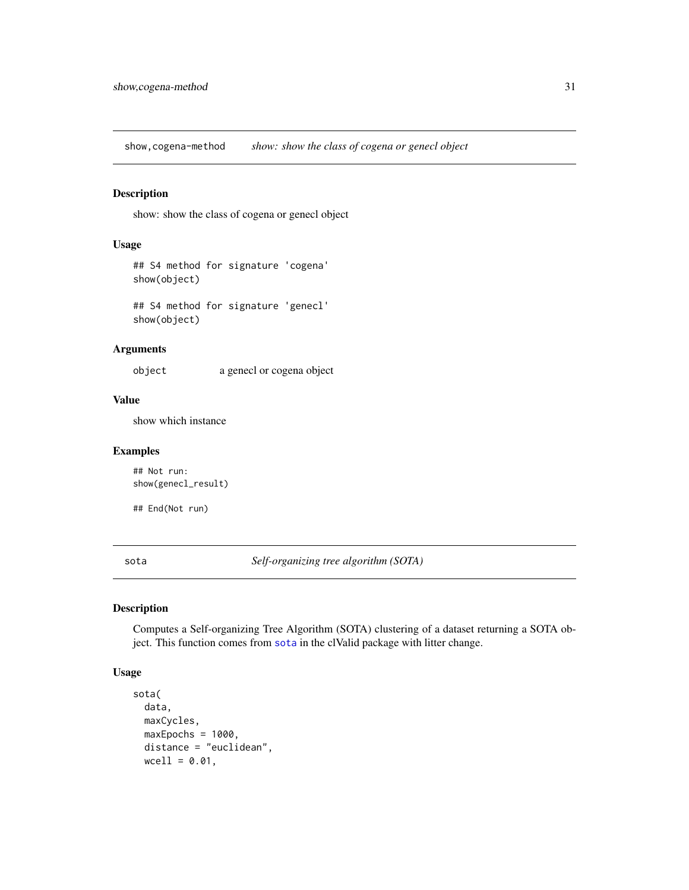<span id="page-30-0"></span>show,cogena-method *show: show the class of cogena or genecl object*

# Description

show: show the class of cogena or genecl object

#### Usage

```
## S4 method for signature 'cogena'
show(object)
```
## S4 method for signature 'genecl' show(object)

#### Arguments

object a genecl or cogena object

#### Value

show which instance

# Examples

## Not run: show(genecl\_result)

## End(Not run)

<span id="page-30-1"></span>sota *Self-organizing tree algorithm (SOTA)*

#### Description

Computes a Self-organizing Tree Algorithm (SOTA) clustering of a dataset returning a SOTA object. This function comes from [sota](#page-30-1) in the clValid package with litter change.

#### Usage

```
sota(
 data,
 maxCycles,
 maxEpochs = 1000,
 distance = "euclidean",
 wcell = 0.01,
```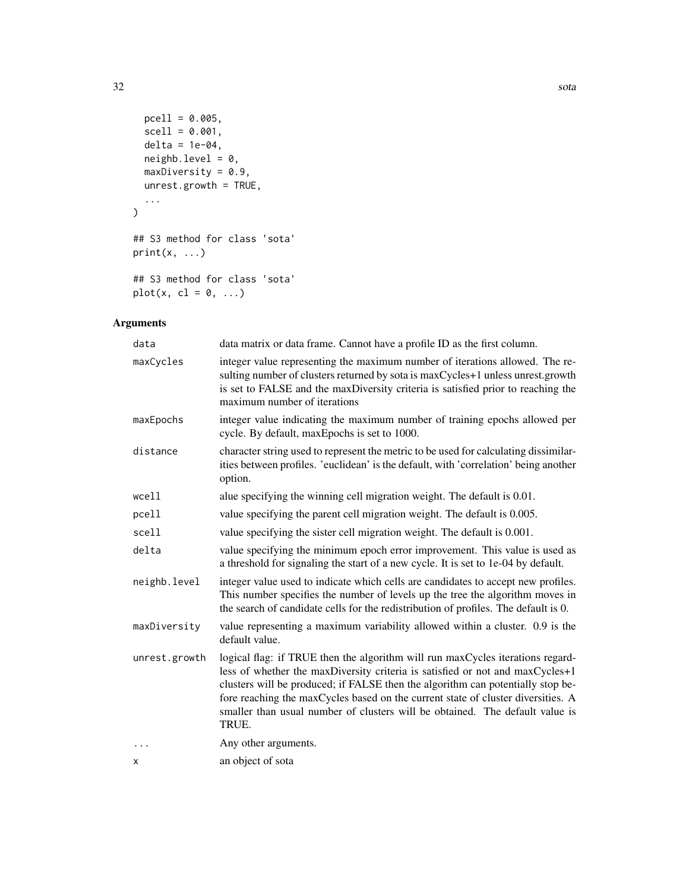```
pcell = 0.005,
  scell = 0.001,delta = 1e-04,
  neighbour = 0,maxDiversity = 0.9,
  unrest.growth = TRUE,
  ...
\mathcal{L}## S3 method for class 'sota'
print(x, \ldots)
```

```
## S3 method for class 'sota'
plot(x, cl = 0, ...)
```
# Arguments

| data          | data matrix or data frame. Cannot have a profile ID as the first column.                                                                                                                                                                                                                                                                                                                                                        |
|---------------|---------------------------------------------------------------------------------------------------------------------------------------------------------------------------------------------------------------------------------------------------------------------------------------------------------------------------------------------------------------------------------------------------------------------------------|
| maxCycles     | integer value representing the maximum number of iterations allowed. The re-<br>sulting number of clusters returned by sota is maxCycles+1 unless unrest.growth<br>is set to FALSE and the maxDiversity criteria is satisfied prior to reaching the<br>maximum number of iterations                                                                                                                                             |
| maxEpochs     | integer value indicating the maximum number of training epochs allowed per<br>cycle. By default, maxEpochs is set to 1000.                                                                                                                                                                                                                                                                                                      |
| distance      | character string used to represent the metric to be used for calculating dissimilar-<br>ities between profiles. 'euclidean' is the default, with 'correlation' being another<br>option.                                                                                                                                                                                                                                         |
| wcell         | alue specifying the winning cell migration weight. The default is 0.01.                                                                                                                                                                                                                                                                                                                                                         |
| pcell         | value specifying the parent cell migration weight. The default is 0.005.                                                                                                                                                                                                                                                                                                                                                        |
| scell         | value specifying the sister cell migration weight. The default is 0.001.                                                                                                                                                                                                                                                                                                                                                        |
| delta         | value specifying the minimum epoch error improvement. This value is used as<br>a threshold for signaling the start of a new cycle. It is set to 1e-04 by default.                                                                                                                                                                                                                                                               |
| neighb.level  | integer value used to indicate which cells are candidates to accept new profiles.<br>This number specifies the number of levels up the tree the algorithm moves in<br>the search of candidate cells for the redistribution of profiles. The default is 0.                                                                                                                                                                       |
| maxDiversity  | value representing a maximum variability allowed within a cluster. 0.9 is the<br>default value.                                                                                                                                                                                                                                                                                                                                 |
| unrest.growth | logical flag: if TRUE then the algorithm will run maxCycles iterations regard-<br>less of whether the maxDiversity criteria is satisfied or not and maxCycles+1<br>clusters will be produced; if FALSE then the algorithm can potentially stop be-<br>fore reaching the maxCycles based on the current state of cluster diversities. A<br>smaller than usual number of clusters will be obtained. The default value is<br>TRUE. |
| .             | Any other arguments.                                                                                                                                                                                                                                                                                                                                                                                                            |
| х             | an object of sota                                                                                                                                                                                                                                                                                                                                                                                                               |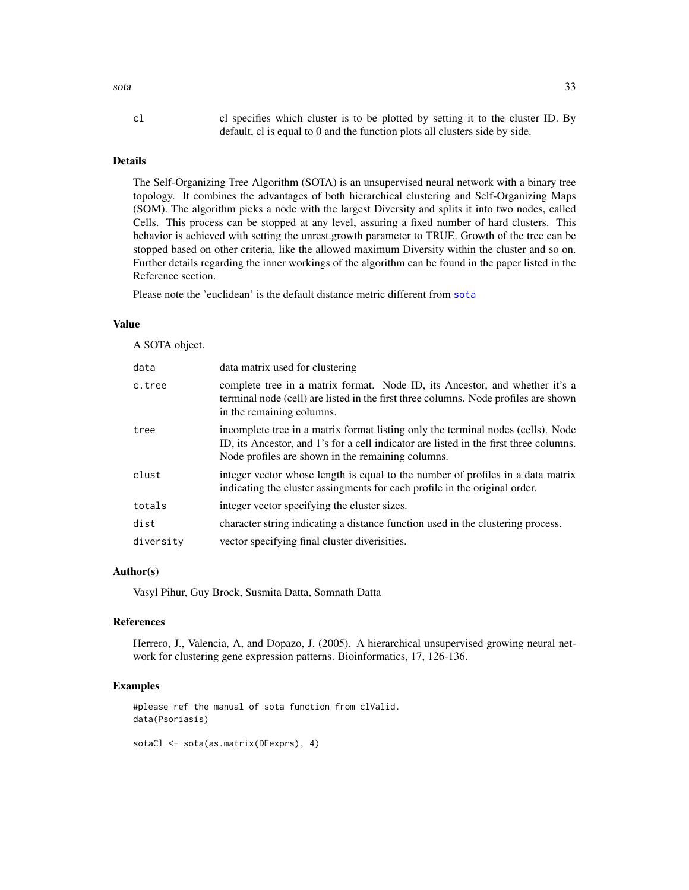# cl cl specifies which cluster is to be plotted by setting it to the cluster ID. By default, cl is equal to 0 and the function plots all clusters side by side.

# Details

The Self-Organizing Tree Algorithm (SOTA) is an unsupervised neural network with a binary tree topology. It combines the advantages of both hierarchical clustering and Self-Organizing Maps (SOM). The algorithm picks a node with the largest Diversity and splits it into two nodes, called Cells. This process can be stopped at any level, assuring a fixed number of hard clusters. This behavior is achieved with setting the unrest.growth parameter to TRUE. Growth of the tree can be stopped based on other criteria, like the allowed maximum Diversity within the cluster and so on. Further details regarding the inner workings of the algorithm can be found in the paper listed in the Reference section.

Please note the 'euclidean' is the default distance metric different from [sota](#page-30-1)

#### Value

A SOTA object.

| data      | data matrix used for clustering                                                                                                                                                                                                |
|-----------|--------------------------------------------------------------------------------------------------------------------------------------------------------------------------------------------------------------------------------|
| c.tree    | complete tree in a matrix format. Node ID, its Ancestor, and whether it's a<br>terminal node (cell) are listed in the first three columns. Node profiles are shown<br>in the remaining columns.                                |
| tree      | incomplete tree in a matrix format listing only the terminal nodes (cells). Node<br>ID, its Ancestor, and 1's for a cell indicator are listed in the first three columns.<br>Node profiles are shown in the remaining columns. |
| clust     | integer vector whose length is equal to the number of profiles in a data matrix<br>indicating the cluster assingments for each profile in the original order.                                                                  |
| totals    | integer vector specifying the cluster sizes.                                                                                                                                                                                   |
| dist      | character string indicating a distance function used in the clustering process.                                                                                                                                                |
| diversity | vector specifying final cluster diverisities.                                                                                                                                                                                  |

#### Author(s)

Vasyl Pihur, Guy Brock, Susmita Datta, Somnath Datta

#### References

Herrero, J., Valencia, A, and Dopazo, J. (2005). A hierarchical unsupervised growing neural network for clustering gene expression patterns. Bioinformatics, 17, 126-136.

#### Examples

#please ref the manual of sota function from clValid. data(Psoriasis)

sotaCl <- sota(as.matrix(DEexprs), 4)

<span id="page-32-0"></span> $sota$  33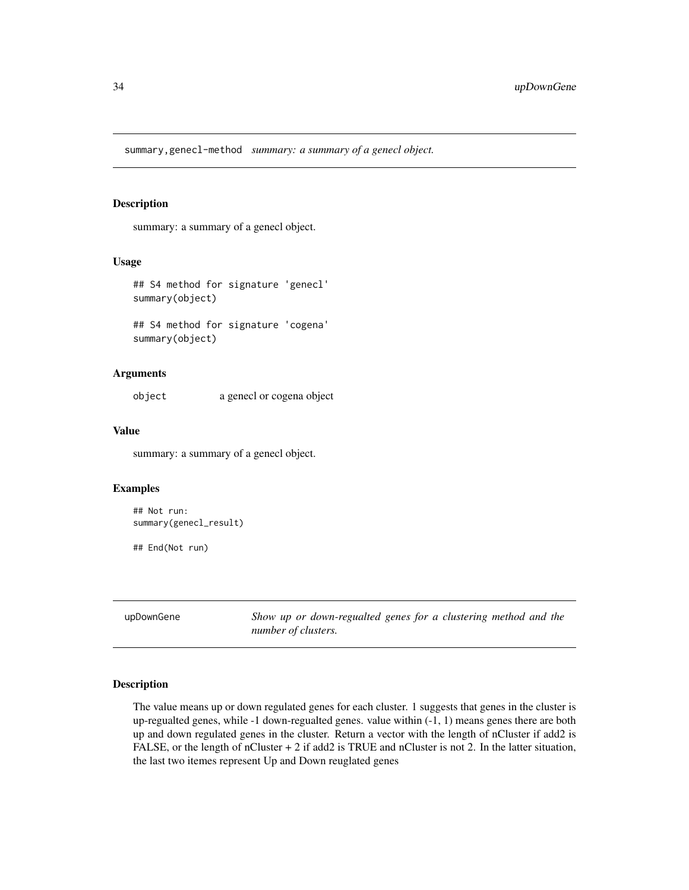<span id="page-33-0"></span>summary,genecl-method *summary: a summary of a genecl object.*

# Description

summary: a summary of a genecl object.

#### Usage

```
## S4 method for signature 'genecl'
summary(object)
```
## S4 method for signature 'cogena' summary(object)

#### Arguments

object a genecl or cogena object

# Value

summary: a summary of a genecl object.

#### Examples

```
## Not run:
summary(genecl_result)
```
## End(Not run)

upDownGene *Show up or down-regualted genes for a clustering method and the number of clusters.*

#### Description

The value means up or down regulated genes for each cluster. 1 suggests that genes in the cluster is up-regualted genes, while -1 down-regualted genes. value within (-1, 1) means genes there are both up and down regulated genes in the cluster. Return a vector with the length of nCluster if add2 is FALSE, or the length of nCluster + 2 if add2 is TRUE and nCluster is not 2. In the latter situation, the last two itemes represent Up and Down reuglated genes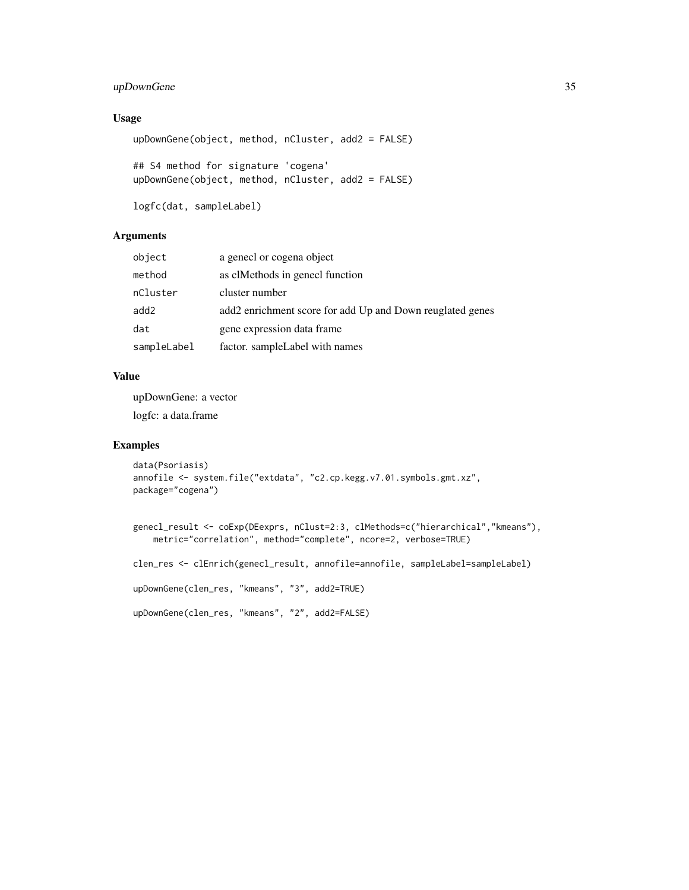# upDownGene 35

# Usage

```
upDownGene(object, method, nCluster, add2 = FALSE)
## S4 method for signature 'cogena'
upDownGene(object, method, nCluster, add2 = FALSE)
```

```
logfc(dat, sampleLabel)
```
# Arguments

| object      | a genecl or cogena object                                 |
|-------------|-----------------------------------------------------------|
| method      | as clMethods in genecl function                           |
| nCluster    | cluster number                                            |
| add2        | add2 enrichment score for add Up and Down reuglated genes |
| dat         | gene expression data frame                                |
| sampleLabel | factor. sampleLabel with names                            |

# Value

upDownGene: a vector logfc: a data.frame

```
data(Psoriasis)
annofile <- system.file("extdata", "c2.cp.kegg.v7.01.symbols.gmt.xz",
package="cogena")
```

```
genecl_result <- coExp(DEexprs, nClust=2:3, clMethods=c("hierarchical","kmeans"),
   metric="correlation", method="complete", ncore=2, verbose=TRUE)
clen_res <- clEnrich(genecl_result, annofile=annofile, sampleLabel=sampleLabel)
upDownGene(clen_res, "kmeans", "3", add2=TRUE)
upDownGene(clen_res, "kmeans", "2", add2=FALSE)
```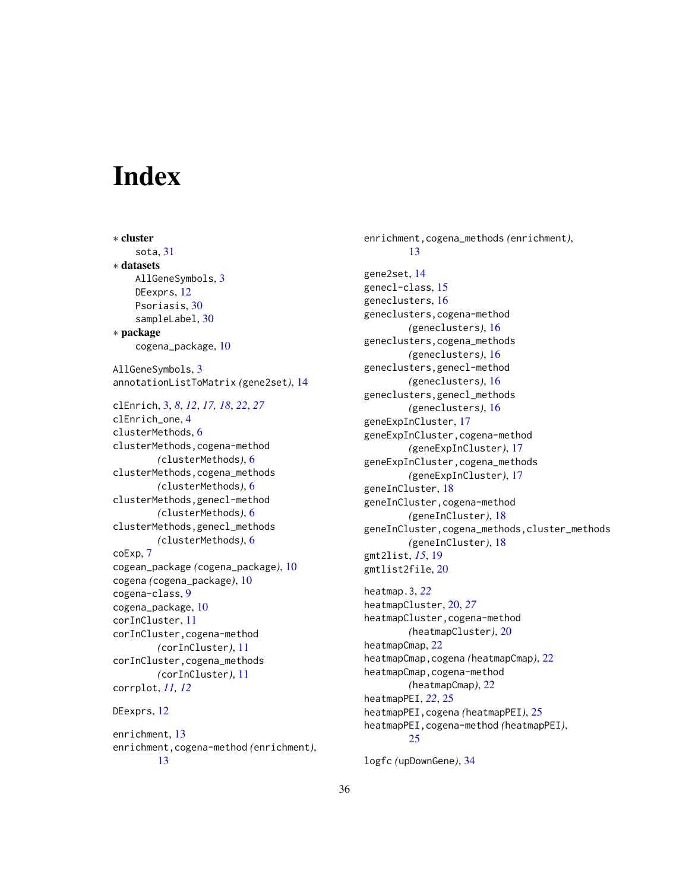# <span id="page-35-0"></span>**Index**

∗ cluster sota, [31](#page-30-0) ∗ datasets AllGeneSymbols, [3](#page-2-0) DEexprs, [12](#page-11-0) Psoriasis, [30](#page-29-0) sampleLabel, [30](#page-29-0) ∗ package cogena\_package, [10](#page-9-0) AllGeneSymbols, [3](#page-2-0) annotationListToMatrix *(*gene2set*)*, [14](#page-13-0) clEnrich, [3,](#page-2-0) *[8](#page-7-0)*, *[12](#page-11-0)*, *[17,](#page-16-0) [18](#page-17-0)*, *[22](#page-21-0)*, *[27](#page-26-0)* clEnrich\_one, [4](#page-3-0) clusterMethods, [6](#page-5-0) clusterMethods,cogena-method *(*clusterMethods*)*, [6](#page-5-0) clusterMethods,cogena\_methods *(*clusterMethods*)*, [6](#page-5-0) clusterMethods,genecl-method *(*clusterMethods*)*, [6](#page-5-0) clusterMethods,genecl\_methods *(*clusterMethods*)*, [6](#page-5-0) coExp, [7](#page-6-0) cogean\_package *(*cogena\_package*)*, [10](#page-9-0) cogena *(*cogena\_package*)*, [10](#page-9-0) cogena-class, [9](#page-8-0) cogena\_package, [10](#page-9-0) corInCluster, [11](#page-10-0) corInCluster,cogena-method *(*corInCluster*)*, [11](#page-10-0) corInCluster,cogena\_methods *(*corInCluster*)*, [11](#page-10-0) corrplot, *[11,](#page-10-0) [12](#page-11-0)* DEexprs, [12](#page-11-0) enrichment, [13](#page-12-0) enrichment,cogena-method *(*enrichment*)*,

[13](#page-12-0)

geneclusters, [16](#page-15-0) geneclusters,cogena-method *(*geneclusters*)*, [16](#page-15-0) geneclusters,cogena\_methods *(*geneclusters*)*, [16](#page-15-0) geneclusters,genecl-method *(*geneclusters*)*, [16](#page-15-0) geneclusters,genecl\_methods *(*geneclusters*)*, [16](#page-15-0) geneExpInCluster, [17](#page-16-0) geneExpInCluster,cogena-method *(*geneExpInCluster*)*, [17](#page-16-0) geneExpInCluster,cogena\_methods *(*geneExpInCluster*)*, [17](#page-16-0) geneInCluster, [18](#page-17-0) geneInCluster,cogena-method *(*geneInCluster*)*, [18](#page-17-0) geneInCluster,cogena\_methods,cluster\_methods *(*geneInCluster*)*, [18](#page-17-0) gmt2list, *[15](#page-14-0)*, [19](#page-18-0) gmtlist2file, [20](#page-19-0) heatmap.3, *[22](#page-21-0)* heatmapCluster, [20,](#page-19-0) *[27](#page-26-0)* heatmapCluster,cogena-method *(*heatmapCluster*)*, [20](#page-19-0) heatmapCmap, [22](#page-21-0) heatmapCmap,cogena *(*heatmapCmap*)*, [22](#page-21-0) heatmapCmap,cogena-method *(*heatmapCmap*)*, [22](#page-21-0)

enrichment,cogena\_methods *(*enrichment*)*,

[13](#page-12-0)

gene2set, [14](#page-13-0) genecl-class, [15](#page-14-0)

heatmapPEI, *[22](#page-21-0)*, [25](#page-24-0)

[25](#page-24-0)

logfc *(*upDownGene*)*, [34](#page-33-0)

heatmapPEI,cogena *(*heatmapPEI*)*, [25](#page-24-0) heatmapPEI,cogena-method *(*heatmapPEI*)*,